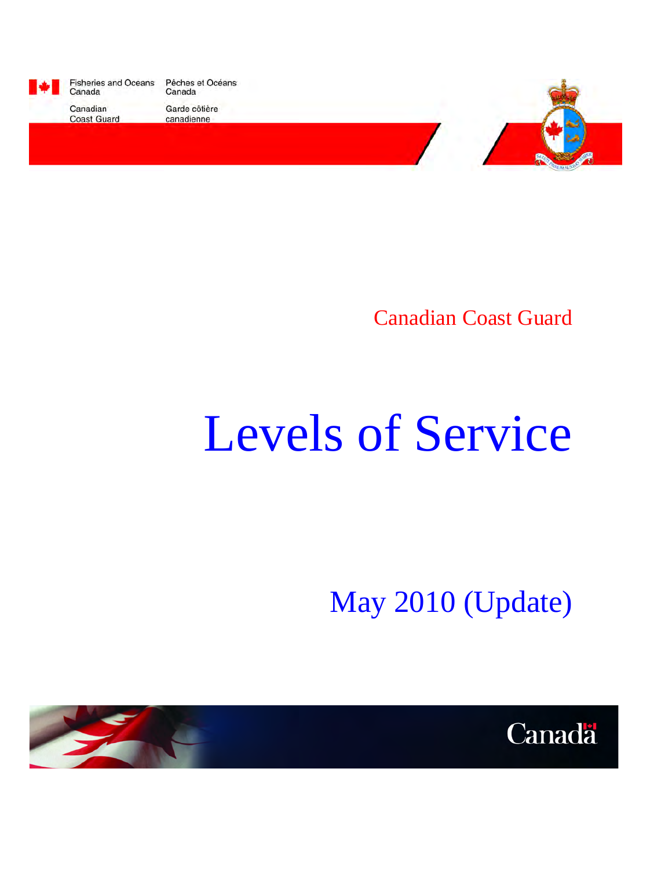

Fisheries and Oceans<br>Canada Pêches et Océans Canada

Canadian **Coast Guard**  Garde côtière canadienne



Canadian Coast Guard

# Levels of Service

May 2010 (Update)



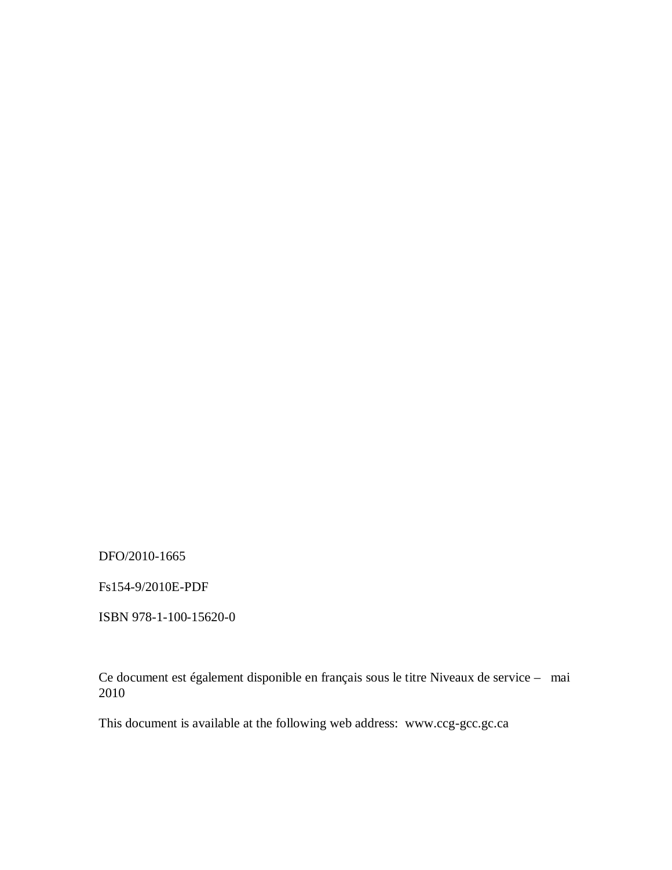DFO/2010-1665

Fs154-9/2010E-PDF

ISBN 978-1-100-15620-0

Ce document est également disponible en français sous le titre Niveaux de service – mai 2010

This document is available at the following web address: www.ccg-gcc.gc.ca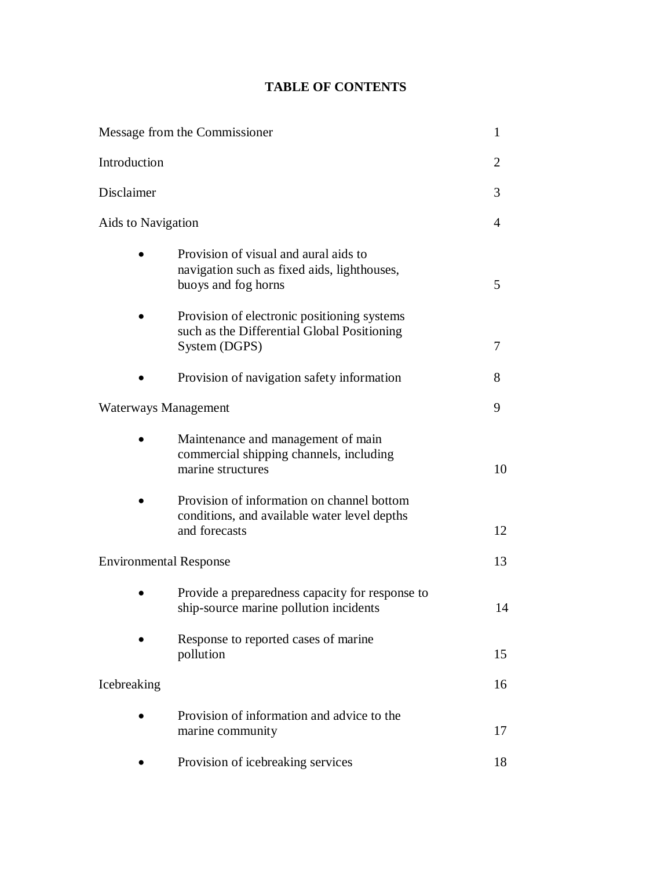# **TABLE OF CONTENTS**

|                               | Message from the Commissioner                                                                               | $\mathbf{1}$   |
|-------------------------------|-------------------------------------------------------------------------------------------------------------|----------------|
| Introduction                  |                                                                                                             | $\overline{2}$ |
| Disclaimer                    |                                                                                                             | 3              |
| Aids to Navigation            |                                                                                                             | 4              |
|                               | Provision of visual and aural aids to<br>navigation such as fixed aids, lighthouses,<br>buoys and fog horns | 5              |
|                               | Provision of electronic positioning systems<br>such as the Differential Global Positioning<br>System (DGPS) | 7              |
|                               | Provision of navigation safety information                                                                  | 8              |
| Waterways Management          |                                                                                                             | 9              |
|                               | Maintenance and management of main<br>commercial shipping channels, including<br>marine structures          | 10             |
|                               | Provision of information on channel bottom<br>conditions, and available water level depths<br>and forecasts | 12             |
| <b>Environmental Response</b> |                                                                                                             | 13             |
|                               | Provide a preparedness capacity for response to<br>ship-source marine pollution incidents                   | 14             |
|                               | Response to reported cases of marine<br>pollution                                                           | 15             |
| Icebreaking                   |                                                                                                             | 16             |
|                               | Provision of information and advice to the<br>marine community                                              | 17             |
|                               | Provision of icebreaking services                                                                           | 18             |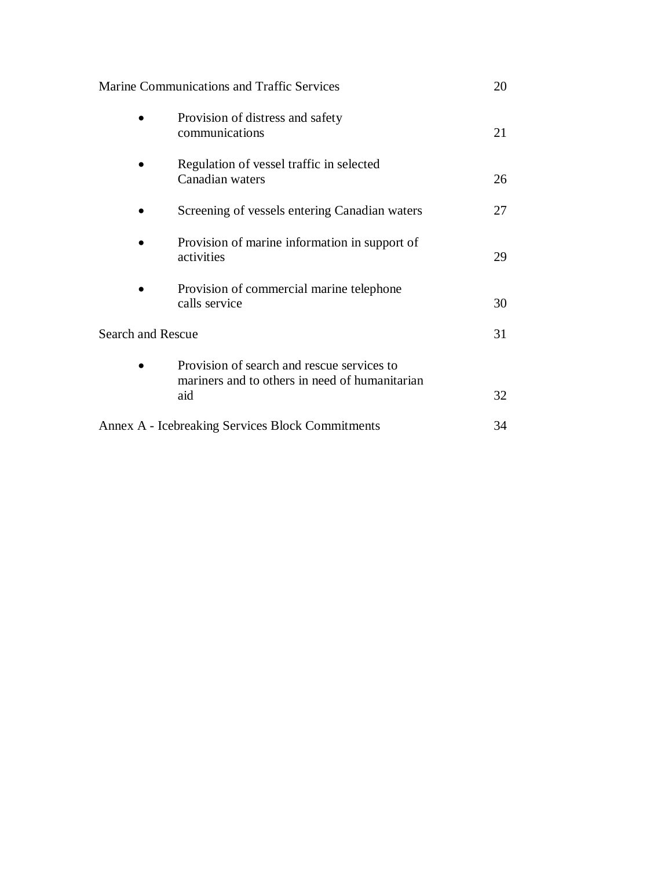Marine Communications and Traffic Services 20

|                          | Provision of distress and safety<br>communications          | 21 |  |  |  |
|--------------------------|-------------------------------------------------------------|----|--|--|--|
|                          | Regulation of vessel traffic in selected<br>Canadian waters | 26 |  |  |  |
|                          | Screening of vessels entering Canadian waters               | 27 |  |  |  |
|                          | Provision of marine information in support of<br>activities | 29 |  |  |  |
|                          | Provision of commercial marine telephone<br>calls service   | 30 |  |  |  |
| <b>Search and Rescue</b> |                                                             | 31 |  |  |  |
|                          | Provision of search and rescue services to                  |    |  |  |  |
|                          | mariners and to others in need of humanitarian<br>aid       | 32 |  |  |  |
|                          | Annex A - Icebreaking Services Block Commitments<br>34      |    |  |  |  |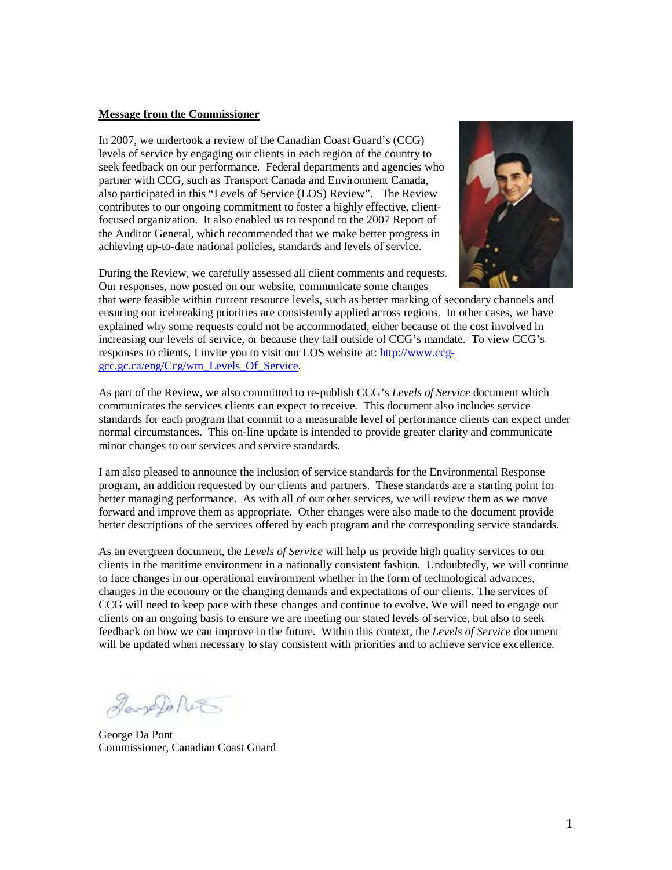#### **Message from the Commissioner**

In 2007, we undertook a review of the Canadian Coast Guard's (CCG) levels of service by engaging our clients in each region of the country to seek feedback on our performance. Federal departments and agencies who partner with CCG, such as Transport Canada and Environment Canada, also participated in this "Levels of Service (LOS) Review". The Review contributes to our ongoing commitment to foster a highly effective, clientfocused organization. It also enabled us to respond to the 2007 Report of the Auditor General, which recommended that we make better progress in achieving up-to-date national policies, standards and levels of service.

During the Review, we carefully assessed all client comments and requests. Our responses, now posted on our website, communicate some changes



that were feasible within current resource levels, such as better marking of secondary channels and ensuring our icebreaking priorities are consistently applied across regions. In other cases, we have explained why some requests could not be accommodated, either because of the cost involved in increasing our levels of service, or because they fall outside of CCG's mandate. To view CCG's responses to clients, I invite you to visit our LOS website at: http://www.ccggcc.gc.ca/eng/Ccg/wm\_Levels\_Of\_Service.

As part of the Review, we also committed to re-publish CCG's *Levels of Service* document which communicates the services clients can expect to receive. This document also includes service standards for each program that commit to a measurable level of performance clients can expect under normal circumstances. This on-line update is intended to provide greater clarity and communicate minor changes to our services and service standards.

I am also pleased to announce the inclusion of service standards for the Environmental Response program, an addition requested by our clients and partners. These standards are a starting point for better managing performance. As with all of our other services, we will review them as we move forward and improve them as appropriate. Other changes were also made to the document provide better descriptions of the services offered by each program and the corresponding service standards.

As an evergreen document, the *Levels of Service* will help us provide high quality services to our clients in the maritime environment in a nationally consistent fashion. Undoubtedly, we will continue to face changes in our operational environment whether in the form of technological advances, changes in the economy or the changing demands and expectations of our clients. The services of CCG will need to keep pace with these changes and continue to evolve. We will need to engage our clients on an ongoing basis to ensure we are meeting our stated levels of service, but also to seek feedback on how we can improve in the future. Within this context, the *Levels of Service* document will be updated when necessary to stay consistent with priorities and to achieve service excellence.

JaneJa Piet

George Da Pont Commissioner, Canadian Coast Guard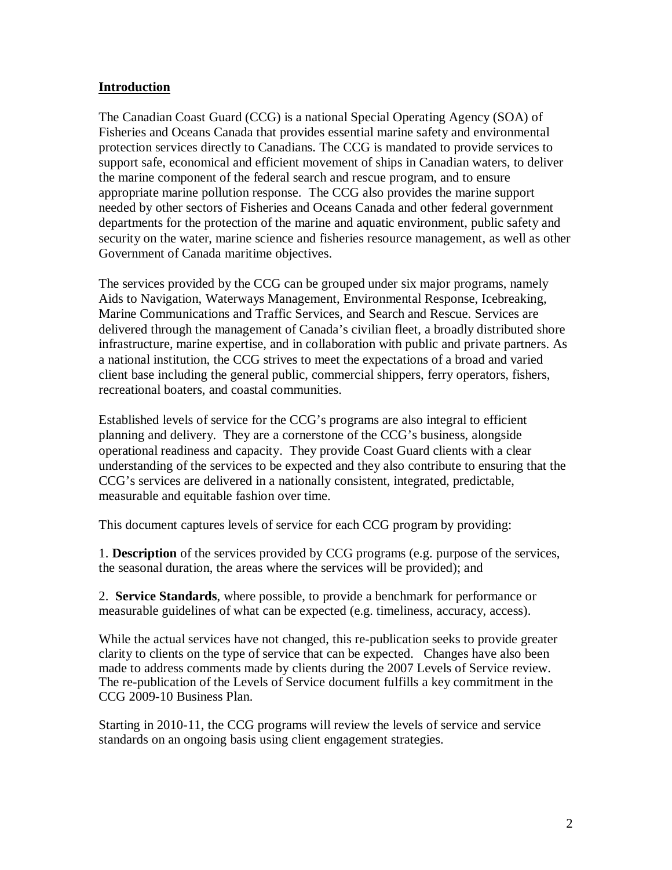#### **Introduction**

The Canadian Coast Guard (CCG) is a national Special Operating Agency (SOA) of Fisheries and Oceans Canada that provides essential marine safety and environmental protection services directly to Canadians. The CCG is mandated to provide services to support safe, economical and efficient movement of ships in Canadian waters, to deliver the marine component of the federal search and rescue program, and to ensure appropriate marine pollution response. The CCG also provides the marine support needed by other sectors of Fisheries and Oceans Canada and other federal government departments for the protection of the marine and aquatic environment, public safety and security on the water, marine science and fisheries resource management, as well as other Government of Canada maritime objectives.

The services provided by the CCG can be grouped under six major programs, namely Aids to Navigation, Waterways Management, Environmental Response, Icebreaking, Marine Communications and Traffic Services, and Search and Rescue. Services are delivered through the management of Canada's civilian fleet, a broadly distributed shore infrastructure, marine expertise, and in collaboration with public and private partners. As a national institution, the CCG strives to meet the expectations of a broad and varied client base including the general public, commercial shippers, ferry operators, fishers, recreational boaters, and coastal communities.

Established levels of service for the CCG's programs are also integral to efficient planning and delivery. They are a cornerstone of the CCG's business, alongside operational readiness and capacity. They provide Coast Guard clients with a clear understanding of the services to be expected and they also contribute to ensuring that the CCG's services are delivered in a nationally consistent, integrated, predictable, measurable and equitable fashion over time.

This document captures levels of service for each CCG program by providing:

1. **Description** of the services provided by CCG programs (e.g. purpose of the services, the seasonal duration, the areas where the services will be provided); and

2. **Service Standards**, where possible, to provide a benchmark for performance or measurable guidelines of what can be expected (e.g. timeliness, accuracy, access).

While the actual services have not changed, this re-publication seeks to provide greater clarity to clients on the type of service that can be expected. Changes have also been made to address comments made by clients during the 2007 Levels of Service review. The re-publication of the Levels of Service document fulfills a key commitment in the CCG 2009-10 Business Plan.

Starting in 2010-11, the CCG programs will review the levels of service and service standards on an ongoing basis using client engagement strategies.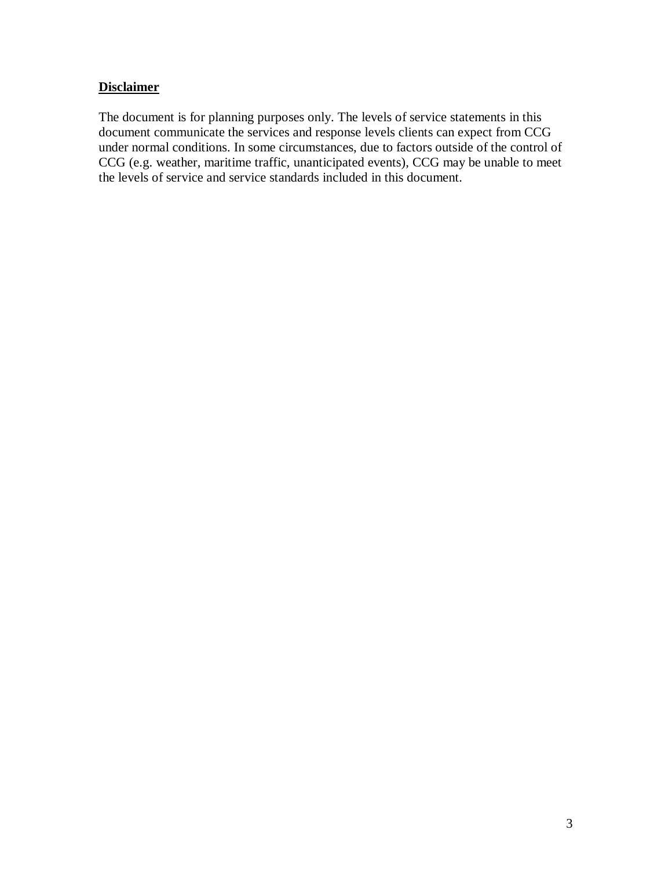#### **Disclaimer**

The document is for planning purposes only. The levels of service statements in this document communicate the services and response levels clients can expect from CCG under normal conditions. In some circumstances, due to factors outside of the control of CCG (e.g. weather, maritime traffic, unanticipated events), CCG may be unable to meet the levels of service and service standards included in this document.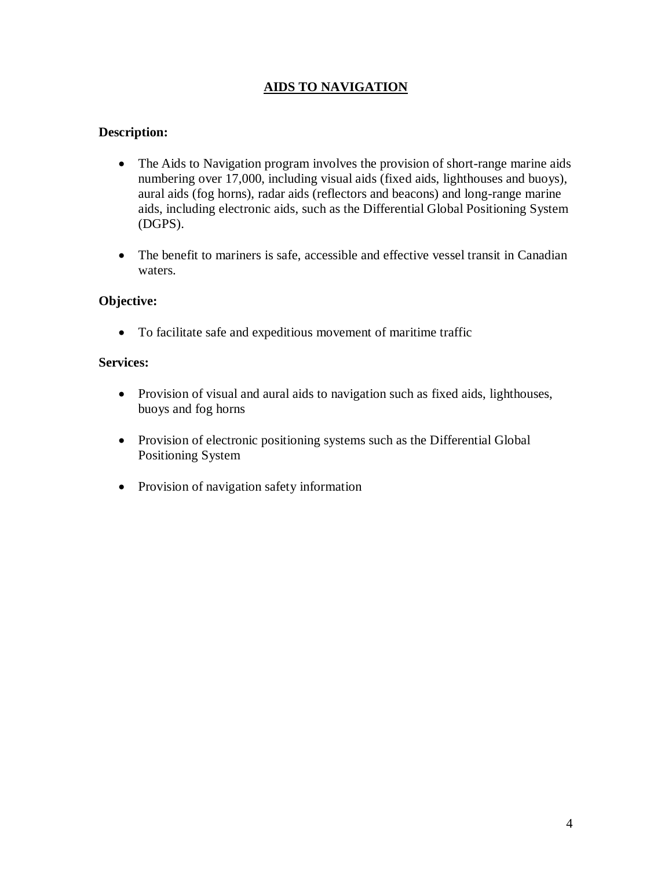## **AIDS TO NAVIGATION**

#### **Description:**

- The Aids to Navigation program involves the provision of short-range marine aids numbering over 17,000, including visual aids (fixed aids, lighthouses and buoys), aural aids (fog horns), radar aids (reflectors and beacons) and long-range marine aids, including electronic aids, such as the Differential Global Positioning System (DGPS).
- The benefit to mariners is safe, accessible and effective vessel transit in Canadian waters.

#### **Objective:**

To facilitate safe and expeditious movement of maritime traffic

#### **Services:**

- Provision of visual and aural aids to navigation such as fixed aids, lighthouses, buoys and fog horns
- Provision of electronic positioning systems such as the Differential Global Positioning System
- Provision of navigation safety information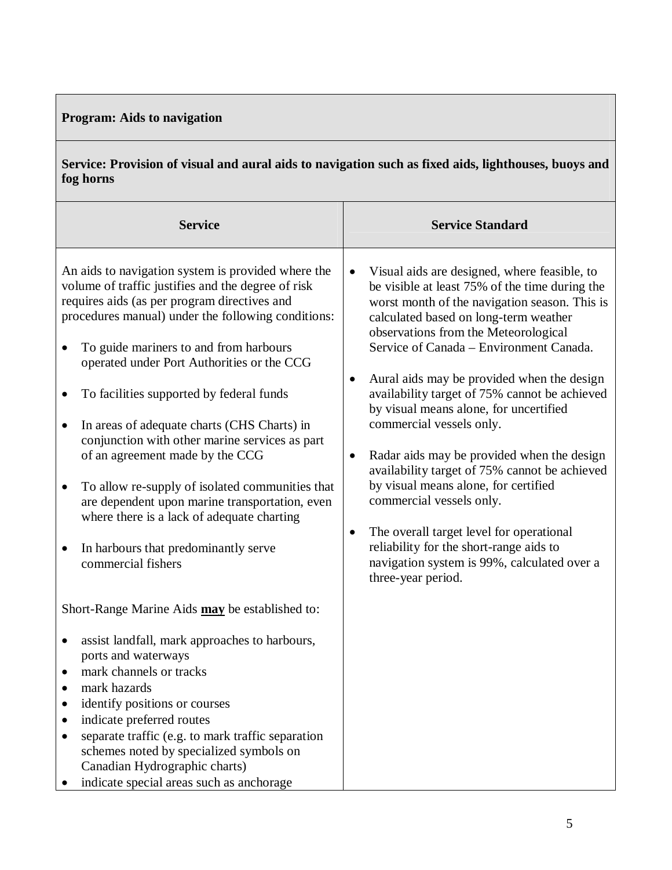# **Program: Aids to navigation**

**Service: Provision of visual and aural aids to navigation such as fixed aids, lighthouses, buoys and fog horns**

| <b>Service</b>                                                                                                                                                                                                                                                                                                                                                                                                                                                                                                                                                                                                                                                                                                                                                   | <b>Service Standard</b>                                                                                                                                                                                                                                                                                                                                                                                                                                                                                                                                                                                                                                                                                                                                                                                                     |
|------------------------------------------------------------------------------------------------------------------------------------------------------------------------------------------------------------------------------------------------------------------------------------------------------------------------------------------------------------------------------------------------------------------------------------------------------------------------------------------------------------------------------------------------------------------------------------------------------------------------------------------------------------------------------------------------------------------------------------------------------------------|-----------------------------------------------------------------------------------------------------------------------------------------------------------------------------------------------------------------------------------------------------------------------------------------------------------------------------------------------------------------------------------------------------------------------------------------------------------------------------------------------------------------------------------------------------------------------------------------------------------------------------------------------------------------------------------------------------------------------------------------------------------------------------------------------------------------------------|
| An aids to navigation system is provided where the<br>volume of traffic justifies and the degree of risk<br>requires aids (as per program directives and<br>procedures manual) under the following conditions:<br>To guide mariners to and from harbours<br>$\bullet$<br>operated under Port Authorities or the CCG<br>To facilities supported by federal funds<br>٠<br>In areas of adequate charts (CHS Charts) in<br>$\bullet$<br>conjunction with other marine services as part<br>of an agreement made by the CCG<br>To allow re-supply of isolated communities that<br>$\bullet$<br>are dependent upon marine transportation, even<br>where there is a lack of adequate charting<br>In harbours that predominantly serve<br>$\bullet$<br>commercial fishers | Visual aids are designed, where feasible, to<br>$\bullet$<br>be visible at least 75% of the time during the<br>worst month of the navigation season. This is<br>calculated based on long-term weather<br>observations from the Meteorological<br>Service of Canada – Environment Canada.<br>Aural aids may be provided when the design<br>$\bullet$<br>availability target of 75% cannot be achieved<br>by visual means alone, for uncertified<br>commercial vessels only.<br>Radar aids may be provided when the design<br>$\bullet$<br>availability target of 75% cannot be achieved<br>by visual means alone, for certified<br>commercial vessels only.<br>The overall target level for operational<br>٠<br>reliability for the short-range aids to<br>navigation system is 99%, calculated over a<br>three-year period. |
| Short-Range Marine Aids may be established to:                                                                                                                                                                                                                                                                                                                                                                                                                                                                                                                                                                                                                                                                                                                   |                                                                                                                                                                                                                                                                                                                                                                                                                                                                                                                                                                                                                                                                                                                                                                                                                             |
| assist landfall, mark approaches to harbours,<br>$\bullet$<br>ports and waterways<br>mark channels or tracks<br>mark hazards<br>identify positions or courses<br>indicate preferred routes<br>separate traffic (e.g. to mark traffic separation<br>schemes noted by specialized symbols on<br>Canadian Hydrographic charts)                                                                                                                                                                                                                                                                                                                                                                                                                                      |                                                                                                                                                                                                                                                                                                                                                                                                                                                                                                                                                                                                                                                                                                                                                                                                                             |

• indicate special areas such as anchorage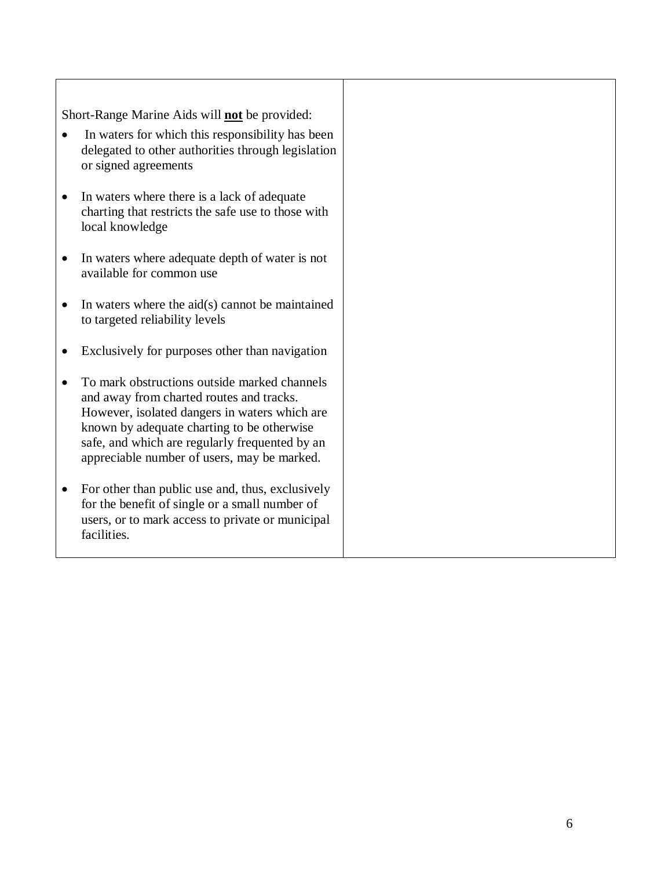Short-Range Marine Aids will **not** be provided:

- In waters for which this responsibility has been delegated to other authorities through legislation or signed agreements
- In waters where there is a lack of adequate charting that restricts the safe use to those with local knowledge
- In waters where adequate depth of water is not available for common use
- $\bullet$  In waters where the aid(s) cannot be maintained to targeted reliability levels
- Exclusively for purposes other than navigation
- To mark obstructions outside marked channels and away from charted routes and tracks. However, isolated dangers in waters which are known by adequate charting to be otherwise safe, and which are regularly frequented by an appreciable number of users, may be marked.
- For other than public use and, thus, exclusively for the benefit of single or a small number of users, or to mark access to private or municipal facilities.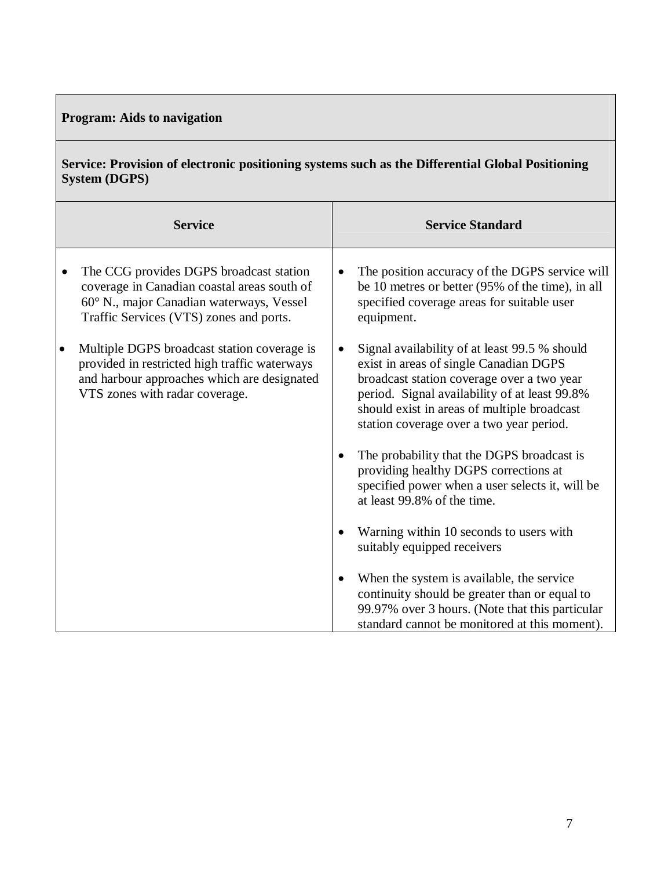# **Program: Aids to navigation**

## **Service: Provision of electronic positioning systems such as the Differential Global Positioning System (DGPS)**

| <b>Service</b>                                                                                                                                                                |           | <b>Service Standard</b>                                                                                                                                                                                                                                                           |
|-------------------------------------------------------------------------------------------------------------------------------------------------------------------------------|-----------|-----------------------------------------------------------------------------------------------------------------------------------------------------------------------------------------------------------------------------------------------------------------------------------|
| The CCG provides DGPS broadcast station<br>coverage in Canadian coastal areas south of<br>60° N., major Canadian waterways, Vessel<br>Traffic Services (VTS) zones and ports. |           | The position accuracy of the DGPS service will<br>be 10 metres or better (95% of the time), in all<br>specified coverage areas for suitable user<br>equipment.                                                                                                                    |
| Multiple DGPS broadcast station coverage is<br>provided in restricted high traffic waterways<br>and harbour approaches which are designated<br>VTS zones with radar coverage. |           | Signal availability of at least 99.5 % should<br>exist in areas of single Canadian DGPS<br>broadcast station coverage over a two year<br>period. Signal availability of at least 99.8%<br>should exist in areas of multiple broadcast<br>station coverage over a two year period. |
|                                                                                                                                                                               |           | The probability that the DGPS broadcast is<br>providing healthy DGPS corrections at<br>specified power when a user selects it, will be<br>at least 99.8% of the time.                                                                                                             |
|                                                                                                                                                                               |           | Warning within 10 seconds to users with<br>suitably equipped receivers                                                                                                                                                                                                            |
|                                                                                                                                                                               | $\bullet$ | When the system is available, the service<br>continuity should be greater than or equal to<br>99.97% over 3 hours. (Note that this particular<br>standard cannot be monitored at this moment).                                                                                    |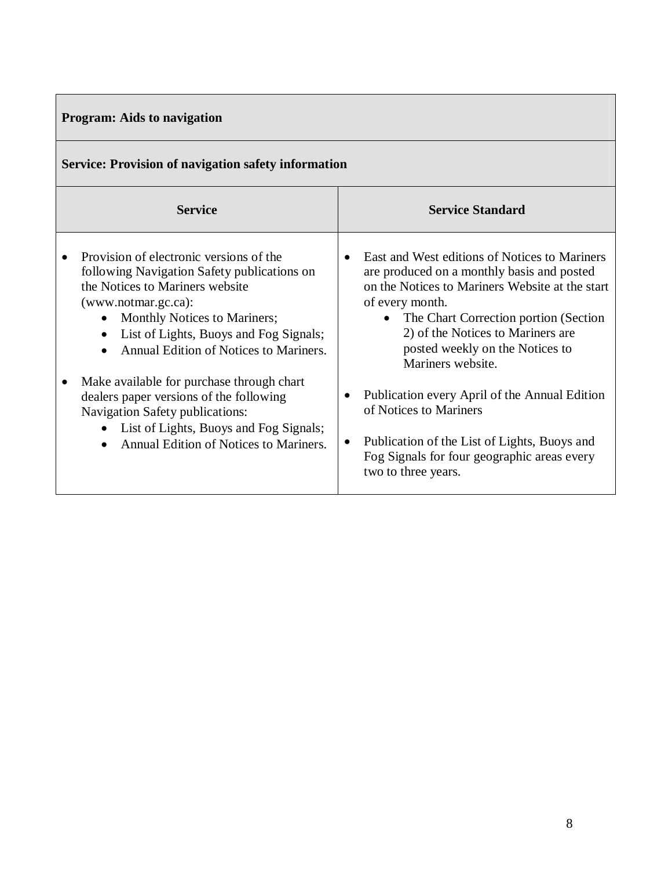# **Program: Aids to navigation**

| Service: Provision of navigation safety information                                                                                                                                                                                                                                                         |                                                                                                                                                                                                                                                                                                                       |  |  |  |
|-------------------------------------------------------------------------------------------------------------------------------------------------------------------------------------------------------------------------------------------------------------------------------------------------------------|-----------------------------------------------------------------------------------------------------------------------------------------------------------------------------------------------------------------------------------------------------------------------------------------------------------------------|--|--|--|
| <b>Service</b>                                                                                                                                                                                                                                                                                              | <b>Service Standard</b>                                                                                                                                                                                                                                                                                               |  |  |  |
| Provision of electronic versions of the<br>following Navigation Safety publications on<br>the Notices to Mariners website<br>(www.notmar.gc.ca):<br>Monthly Notices to Mariners;<br>$\bullet$<br>List of Lights, Buoys and Fog Signals;<br>$\bullet$<br>Annual Edition of Notices to Mariners.<br>$\bullet$ | East and West editions of Notices to Mariners<br>are produced on a monthly basis and posted<br>on the Notices to Mariners Website at the start<br>of every month.<br>The Chart Correction portion (Section)<br>$\bullet$<br>2) of the Notices to Mariners are<br>posted weekly on the Notices to<br>Mariners website. |  |  |  |
| Make available for purchase through chart<br>dealers paper versions of the following<br>Navigation Safety publications:<br>List of Lights, Buoys and Fog Signals;<br>$\bullet$<br>Annual Edition of Notices to Mariners.<br>$\bullet$                                                                       | Publication every April of the Annual Edition<br>٠<br>of Notices to Mariners<br>Publication of the List of Lights, Buoys and<br>$\bullet$<br>Fog Signals for four geographic areas every<br>two to three years.                                                                                                       |  |  |  |

## **Service: Provision of navigation safety information**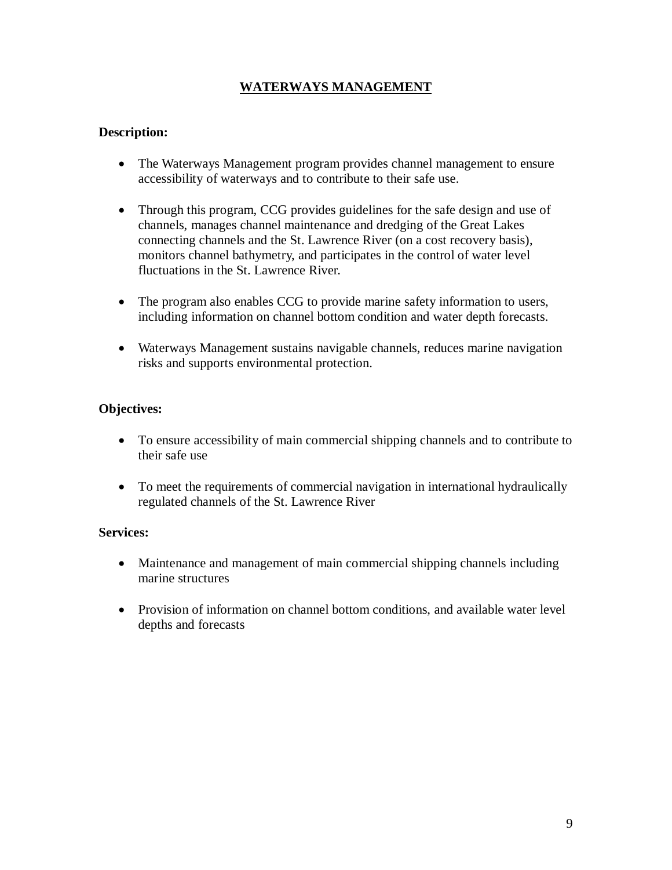## **WATERWAYS MANAGEMENT**

#### **Description:**

- The Waterways Management program provides channel management to ensure accessibility of waterways and to contribute to their safe use.
- Through this program, CCG provides guidelines for the safe design and use of channels, manages channel maintenance and dredging of the Great Lakes connecting channels and the St. Lawrence River (on a cost recovery basis), monitors channel bathymetry, and participates in the control of water level fluctuations in the St. Lawrence River.
- The program also enables CCG to provide marine safety information to users, including information on channel bottom condition and water depth forecasts.
- Waterways Management sustains navigable channels, reduces marine navigation risks and supports environmental protection.

#### **Objectives:**

- To ensure accessibility of main commercial shipping channels and to contribute to their safe use
- To meet the requirements of commercial navigation in international hydraulically regulated channels of the St. Lawrence River

#### **Services:**

- Maintenance and management of main commercial shipping channels including marine structures
- Provision of information on channel bottom conditions, and available water level depths and forecasts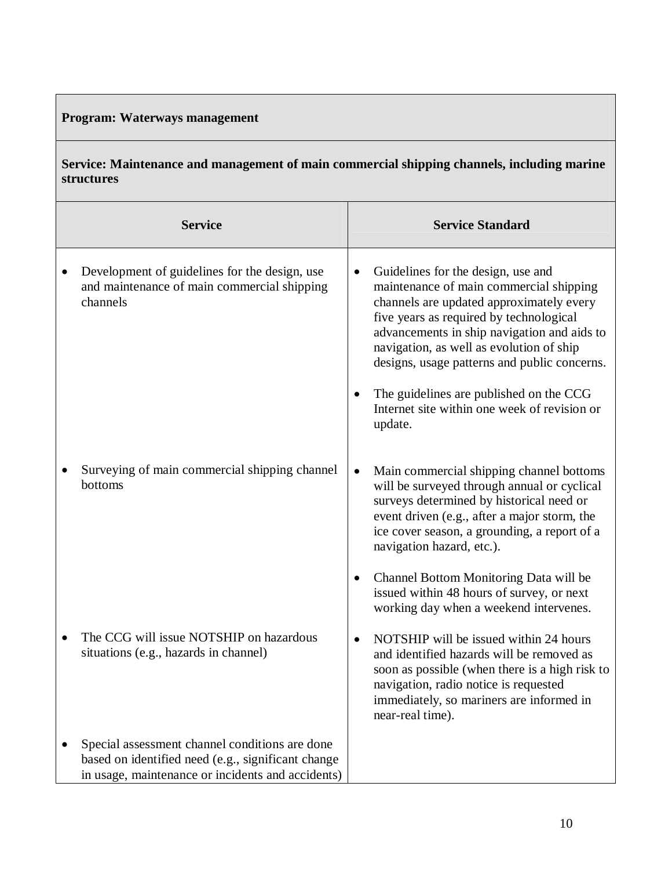# **Program: Waterways management**

**Service: Maintenance and management of main commercial shipping channels, including marine structures** 

|           | <b>Service</b>                                                                                                                                            |           | <b>Service Standard</b>                                                                                                                                                                                                                                                                                         |
|-----------|-----------------------------------------------------------------------------------------------------------------------------------------------------------|-----------|-----------------------------------------------------------------------------------------------------------------------------------------------------------------------------------------------------------------------------------------------------------------------------------------------------------------|
| $\bullet$ | Development of guidelines for the design, use<br>and maintenance of main commercial shipping<br>channels                                                  | $\bullet$ | Guidelines for the design, use and<br>maintenance of main commercial shipping<br>channels are updated approximately every<br>five years as required by technological<br>advancements in ship navigation and aids to<br>navigation, as well as evolution of ship<br>designs, usage patterns and public concerns. |
|           |                                                                                                                                                           | $\bullet$ | The guidelines are published on the CCG<br>Internet site within one week of revision or<br>update.                                                                                                                                                                                                              |
|           | Surveying of main commercial shipping channel<br>bottoms                                                                                                  | $\bullet$ | Main commercial shipping channel bottoms<br>will be surveyed through annual or cyclical<br>surveys determined by historical need or<br>event driven (e.g., after a major storm, the<br>ice cover season, a grounding, a report of a<br>navigation hazard, etc.).                                                |
|           |                                                                                                                                                           | $\bullet$ | Channel Bottom Monitoring Data will be<br>issued within 48 hours of survey, or next<br>working day when a weekend intervenes.                                                                                                                                                                                   |
|           | The CCG will issue NOTSHIP on hazardous<br>situations (e.g., hazards in channel)                                                                          | $\bullet$ | NOTSHIP will be issued within 24 hours<br>and identified hazards will be removed as<br>soon as possible (when there is a high risk to<br>navigation, radio notice is requested<br>immediately, so mariners are informed in<br>near-real time).                                                                  |
|           | Special assessment channel conditions are done<br>based on identified need (e.g., significant change<br>in usage, maintenance or incidents and accidents) |           |                                                                                                                                                                                                                                                                                                                 |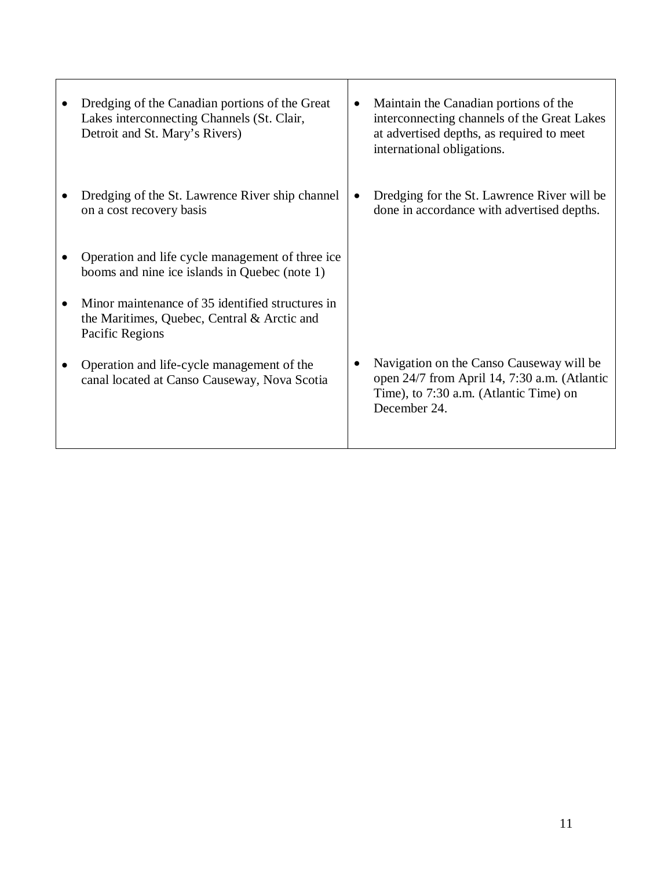| Dredging of the Canadian portions of the Great<br>Lakes interconnecting Channels (St. Clair,<br>Detroit and St. Mary's Rivers) | $\bullet$ | Maintain the Canadian portions of the<br>interconnecting channels of the Great Lakes<br>at advertised depths, as required to meet<br>international obligations. |
|--------------------------------------------------------------------------------------------------------------------------------|-----------|-----------------------------------------------------------------------------------------------------------------------------------------------------------------|
| Dredging of the St. Lawrence River ship channel<br>on a cost recovery basis                                                    |           | Dredging for the St. Lawrence River will be<br>done in accordance with advertised depths.                                                                       |
| Operation and life cycle management of three ice<br>booms and nine ice islands in Quebec (note 1)                              |           |                                                                                                                                                                 |
| Minor maintenance of 35 identified structures in<br>the Maritimes, Quebec, Central & Arctic and<br>Pacific Regions             |           |                                                                                                                                                                 |
| Operation and life-cycle management of the<br>canal located at Canso Causeway, Nova Scotia                                     |           | Navigation on the Canso Causeway will be<br>open 24/7 from April 14, 7:30 a.m. (Atlantic<br>Time), to 7:30 a.m. (Atlantic Time) on<br>December 24.              |

т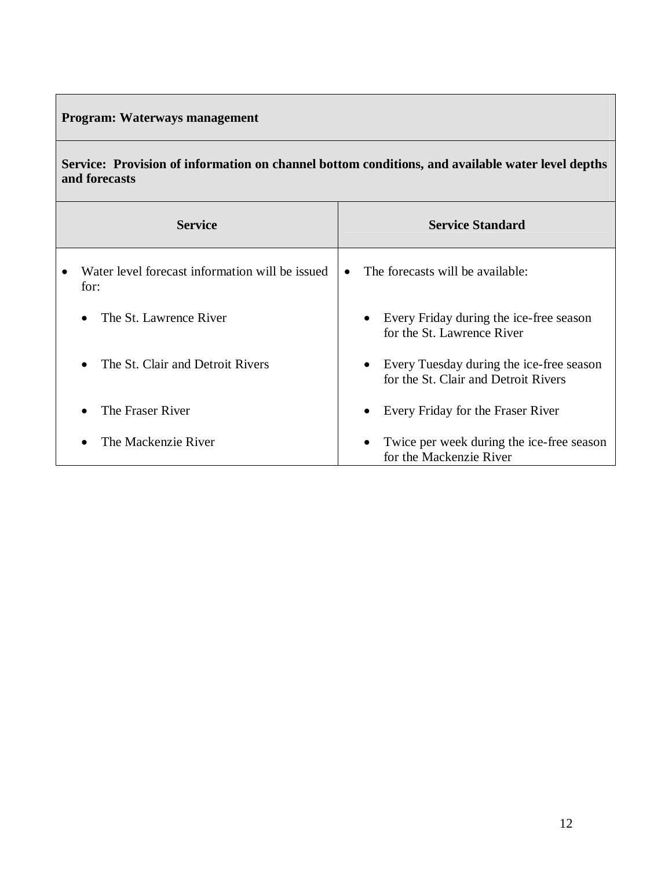# **Program: Waterways management**

**Service: Provision of information on channel bottom conditions, and available water level depths and forecasts**

| <b>Service</b>                                          | <b>Service Standard</b>                                                                       |
|---------------------------------------------------------|-----------------------------------------------------------------------------------------------|
| Water level forecast information will be issued<br>for: | The forecasts will be available:                                                              |
| The St. Lawrence River                                  | Every Friday during the ice-free season<br>$\bullet$<br>for the St. Lawrence River            |
| The St. Clair and Detroit Rivers                        | Every Tuesday during the ice-free season<br>$\bullet$<br>for the St. Clair and Detroit Rivers |
| The Fraser River                                        | Every Friday for the Fraser River<br>$\bullet$                                                |
| The Mackenzie River                                     | Twice per week during the ice-free season<br>٠<br>for the Mackenzie River                     |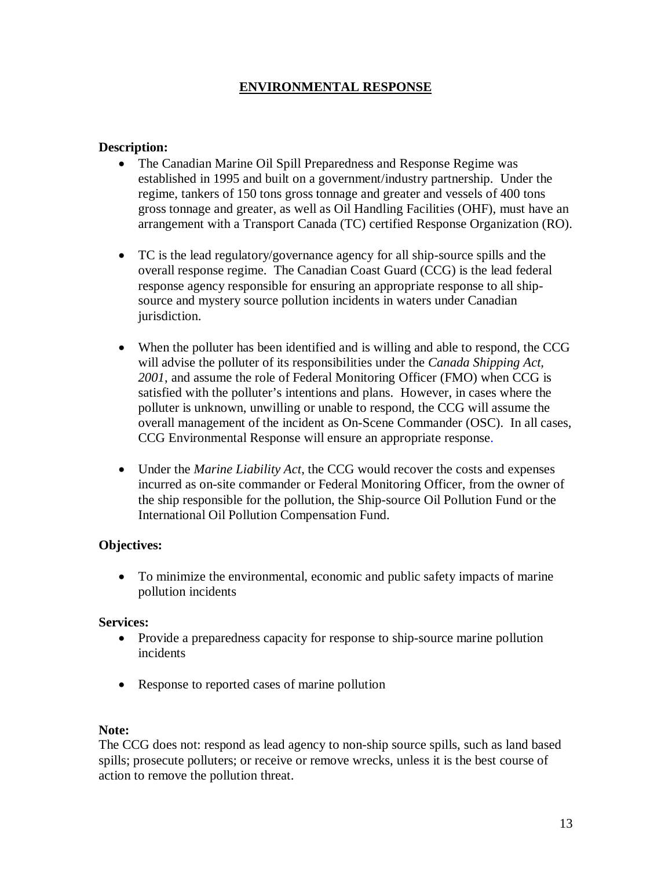#### **ENVIRONMENTAL RESPONSE**

#### **Description:**

- The Canadian Marine Oil Spill Preparedness and Response Regime was established in 1995 and built on a government/industry partnership. Under the regime, tankers of 150 tons gross tonnage and greater and vessels of 400 tons gross tonnage and greater, as well as Oil Handling Facilities (OHF), must have an arrangement with a Transport Canada (TC) certified Response Organization (RO).
- TC is the lead regulatory/governance agency for all ship-source spills and the overall response regime. The Canadian Coast Guard (CCG) is the lead federal response agency responsible for ensuring an appropriate response to all shipsource and mystery source pollution incidents in waters under Canadian jurisdiction.
- When the polluter has been identified and is willing and able to respond, the CCG will advise the polluter of its responsibilities under the *Canada Shipping Act, 2001*, and assume the role of Federal Monitoring Officer (FMO) when CCG is satisfied with the polluter's intentions and plans. However, in cases where the polluter is unknown, unwilling or unable to respond, the CCG will assume the overall management of the incident as On-Scene Commander (OSC). In all cases, CCG Environmental Response will ensure an appropriate response.
- Under the *Marine Liability Act*, the CCG would recover the costs and expenses incurred as on-site commander or Federal Monitoring Officer, from the owner of the ship responsible for the pollution, the Ship-source Oil Pollution Fund or the International Oil Pollution Compensation Fund.

#### **Objectives:**

 To minimize the environmental, economic and public safety impacts of marine pollution incidents

#### **Services:**

- Provide a preparedness capacity for response to ship-source marine pollution incidents
- Response to reported cases of marine pollution

#### **Note:**

The CCG does not: respond as lead agency to non-ship source spills, such as land based spills; prosecute polluters; or receive or remove wrecks, unless it is the best course of action to remove the pollution threat.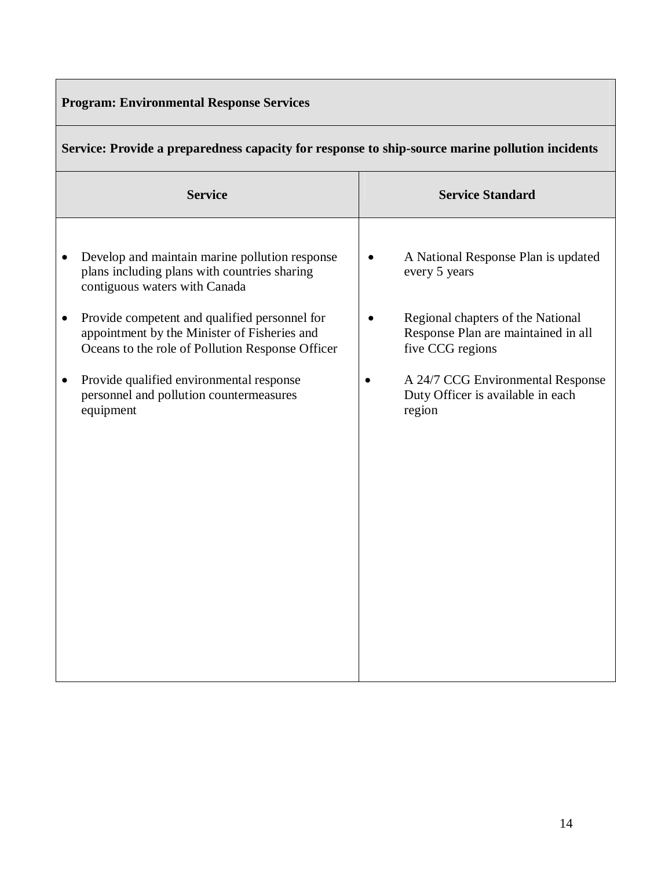|  | <b>Program: Environmental Response Services</b> |  |  |
|--|-------------------------------------------------|--|--|
|--|-------------------------------------------------|--|--|

|  |  |  | Service: Provide a preparedness capacity for response to ship-source marine pollution incidents |  |
|--|--|--|-------------------------------------------------------------------------------------------------|--|
|  |  |  |                                                                                                 |  |

| <b>Service Standard</b>                                                                      |
|----------------------------------------------------------------------------------------------|
| A National Response Plan is updated<br>every 5 years                                         |
| Regional chapters of the National<br>Response Plan are maintained in all<br>five CCG regions |
| A 24/7 CCG Environmental Response<br>Duty Officer is available in each<br>region             |
|                                                                                              |
|                                                                                              |
|                                                                                              |
|                                                                                              |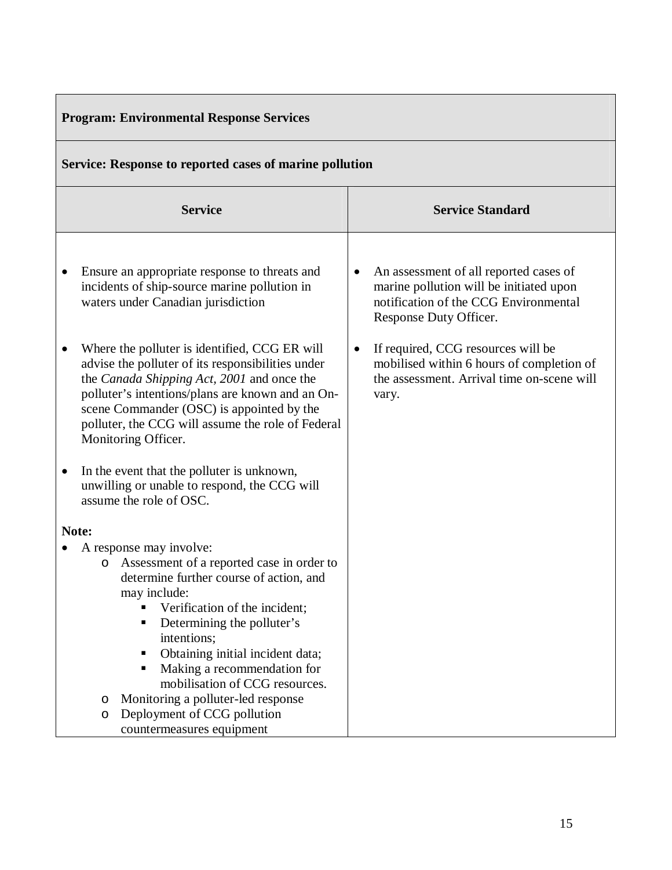| <b>Program: Environmental Response Services</b>                                                                                                                                                                                                                                                                                                                                                                                                                                                                                                                                                                                                                                                                                                                                                                                                                                                                                                                          |                                                                                                                                                                                                                                                                                                                          |  |  |  |  |
|--------------------------------------------------------------------------------------------------------------------------------------------------------------------------------------------------------------------------------------------------------------------------------------------------------------------------------------------------------------------------------------------------------------------------------------------------------------------------------------------------------------------------------------------------------------------------------------------------------------------------------------------------------------------------------------------------------------------------------------------------------------------------------------------------------------------------------------------------------------------------------------------------------------------------------------------------------------------------|--------------------------------------------------------------------------------------------------------------------------------------------------------------------------------------------------------------------------------------------------------------------------------------------------------------------------|--|--|--|--|
| Service: Response to reported cases of marine pollution                                                                                                                                                                                                                                                                                                                                                                                                                                                                                                                                                                                                                                                                                                                                                                                                                                                                                                                  |                                                                                                                                                                                                                                                                                                                          |  |  |  |  |
| <b>Service</b>                                                                                                                                                                                                                                                                                                                                                                                                                                                                                                                                                                                                                                                                                                                                                                                                                                                                                                                                                           | <b>Service Standard</b>                                                                                                                                                                                                                                                                                                  |  |  |  |  |
| Ensure an appropriate response to threats and<br>٠<br>incidents of ship-source marine pollution in<br>waters under Canadian jurisdiction<br>Where the polluter is identified, CCG ER will<br>٠<br>advise the polluter of its responsibilities under<br>the Canada Shipping Act, 2001 and once the<br>polluter's intentions/plans are known and an On-<br>scene Commander (OSC) is appointed by the<br>polluter, the CCG will assume the role of Federal<br>Monitoring Officer.<br>In the event that the polluter is unknown,<br>$\bullet$<br>unwilling or unable to respond, the CCG will<br>assume the role of OSC.<br>Note:<br>A response may involve:<br>Assessment of a reported case in order to<br>$\circ$<br>determine further course of action, and<br>may include:<br>Verification of the incident;<br>Determining the polluter's<br>٠<br>intentions;<br>Obtaining initial incident data;<br>٠<br>Making a recommendation for<br>mobilisation of CCG resources. | An assessment of all reported cases of<br>$\bullet$<br>marine pollution will be initiated upon<br>notification of the CCG Environmental<br>Response Duty Officer.<br>If required, CCG resources will be<br>$\bullet$<br>mobilised within 6 hours of completion of<br>the assessment. Arrival time on-scene will<br>vary. |  |  |  |  |
| Monitoring a polluter-led response<br>O<br>Deployment of CCG pollution<br>O<br>countermeasures equipment                                                                                                                                                                                                                                                                                                                                                                                                                                                                                                                                                                                                                                                                                                                                                                                                                                                                 |                                                                                                                                                                                                                                                                                                                          |  |  |  |  |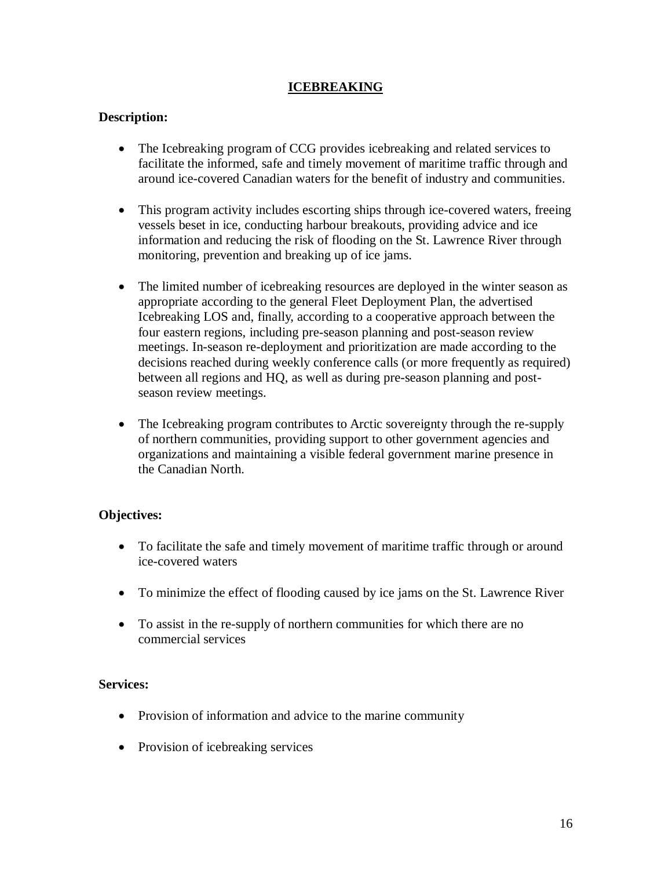#### **ICEBREAKING**

#### **Description:**

- The Icebreaking program of CCG provides icebreaking and related services to facilitate the informed, safe and timely movement of maritime traffic through and around ice-covered Canadian waters for the benefit of industry and communities.
- This program activity includes escorting ships through ice-covered waters, freeing vessels beset in ice, conducting harbour breakouts, providing advice and ice information and reducing the risk of flooding on the St. Lawrence River through monitoring, prevention and breaking up of ice jams.
- The limited number of icebreaking resources are deployed in the winter season as appropriate according to the general Fleet Deployment Plan, the advertised Icebreaking LOS and, finally, according to a cooperative approach between the four eastern regions, including pre-season planning and post-season review meetings. In-season re-deployment and prioritization are made according to the decisions reached during weekly conference calls (or more frequently as required) between all regions and HQ, as well as during pre-season planning and postseason review meetings.
- The Icebreaking program contributes to Arctic sovereignty through the re-supply of northern communities, providing support to other government agencies and organizations and maintaining a visible federal government marine presence in the Canadian North.

#### **Objectives:**

- To facilitate the safe and timely movement of maritime traffic through or around ice-covered waters
- To minimize the effect of flooding caused by ice jams on the St. Lawrence River
- To assist in the re-supply of northern communities for which there are no commercial services

#### **Services:**

- Provision of information and advice to the marine community
- Provision of icebreaking services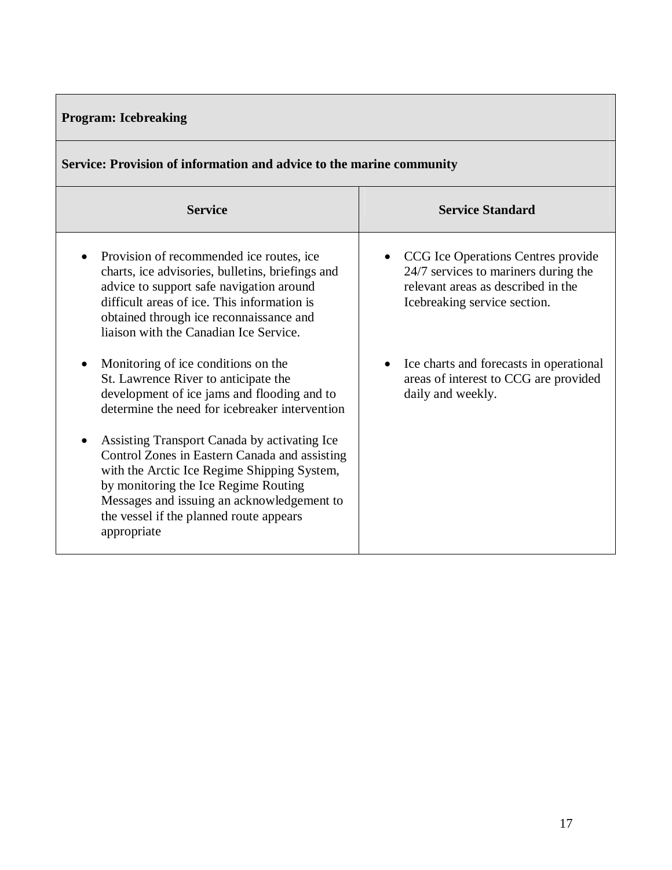| <b>Program: Icebreaking</b> |  |
|-----------------------------|--|
|                             |  |

| Service: Provision of information and advice to the marine community                                                                                                                                                                                                                         |                                                                                                                                                  |  |
|----------------------------------------------------------------------------------------------------------------------------------------------------------------------------------------------------------------------------------------------------------------------------------------------|--------------------------------------------------------------------------------------------------------------------------------------------------|--|
| <b>Service</b>                                                                                                                                                                                                                                                                               | <b>Service Standard</b>                                                                                                                          |  |
| Provision of recommended ice routes, ice<br>charts, ice advisories, bulletins, briefings and<br>advice to support safe navigation around<br>difficult areas of ice. This information is<br>obtained through ice reconnaissance and<br>liaison with the Canadian Ice Service.                 | CCG Ice Operations Centres provide<br>24/7 services to mariners during the<br>relevant areas as described in the<br>Icebreaking service section. |  |
| Monitoring of ice conditions on the<br>$\bullet$<br>St. Lawrence River to anticipate the<br>development of ice jams and flooding and to<br>determine the need for icebreaker intervention                                                                                                    | Ice charts and forecasts in operational<br>$\bullet$<br>areas of interest to CCG are provided<br>daily and weekly.                               |  |
| Assisting Transport Canada by activating Ice<br>Control Zones in Eastern Canada and assisting<br>with the Arctic Ice Regime Shipping System,<br>by monitoring the Ice Regime Routing<br>Messages and issuing an acknowledgement to<br>the vessel if the planned route appears<br>appropriate |                                                                                                                                                  |  |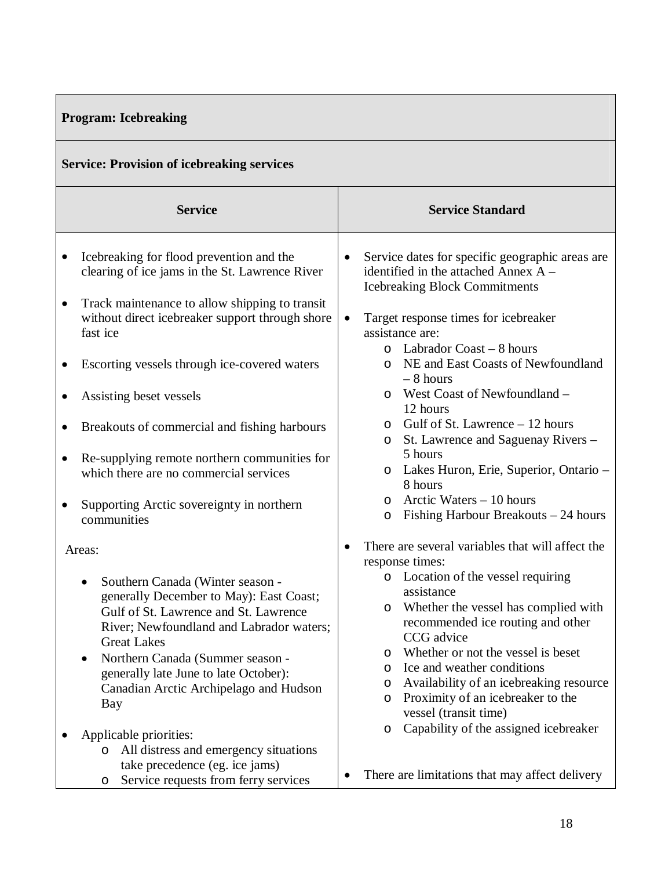# **Program: Icebreaking**

|  | <b>Service: Provision of icebreaking services</b> |  |
|--|---------------------------------------------------|--|
|  |                                                   |  |
|  |                                                   |  |
|  |                                                   |  |

|           | <b>Service</b>                                                                                                                                                                                                                                                                                                                                                                                            |                                      | <b>Service Standard</b>                                                                                                                                                                                                                                                                                                                             |
|-----------|-----------------------------------------------------------------------------------------------------------------------------------------------------------------------------------------------------------------------------------------------------------------------------------------------------------------------------------------------------------------------------------------------------------|--------------------------------------|-----------------------------------------------------------------------------------------------------------------------------------------------------------------------------------------------------------------------------------------------------------------------------------------------------------------------------------------------------|
| $\bullet$ | Icebreaking for flood prevention and the<br>clearing of ice jams in the St. Lawrence River                                                                                                                                                                                                                                                                                                                |                                      | Service dates for specific geographic areas are<br>identified in the attached Annex A -<br><b>Icebreaking Block Commitments</b>                                                                                                                                                                                                                     |
| $\bullet$ | Track maintenance to allow shipping to transit<br>without direct icebreaker support through shore<br>fast ice                                                                                                                                                                                                                                                                                             | assistance are:<br>$\circ$           | Target response times for icebreaker<br>Labrador Coast – 8 hours                                                                                                                                                                                                                                                                                    |
| ٠         | Escorting vessels through ice-covered waters                                                                                                                                                                                                                                                                                                                                                              | $\circ$<br>$-8$ hours                | NE and East Coasts of Newfoundland                                                                                                                                                                                                                                                                                                                  |
|           | Assisting beset vessels                                                                                                                                                                                                                                                                                                                                                                                   | $\circ$<br>12 hours                  | West Coast of Newfoundland -                                                                                                                                                                                                                                                                                                                        |
|           | Breakouts of commercial and fishing harbours                                                                                                                                                                                                                                                                                                                                                              | O<br>O                               | Gulf of St. Lawrence – 12 hours<br>St. Lawrence and Saguenay Rivers -                                                                                                                                                                                                                                                                               |
| ٠         | Re-supplying remote northern communities for<br>which there are no commercial services                                                                                                                                                                                                                                                                                                                    | 5 hours<br>$\circ$<br>8 hours        | Lakes Huron, Erie, Superior, Ontario -                                                                                                                                                                                                                                                                                                              |
| ٠         | Supporting Arctic sovereignty in northern<br>communities                                                                                                                                                                                                                                                                                                                                                  | $\circ$<br>$\circ$                   | Arctic Waters – 10 hours<br>Fishing Harbour Breakouts - 24 hours                                                                                                                                                                                                                                                                                    |
|           | Areas:                                                                                                                                                                                                                                                                                                                                                                                                    | response times:                      | There are several variables that will affect the                                                                                                                                                                                                                                                                                                    |
|           | Southern Canada (Winter season -<br>$\bullet$<br>generally December to May): East Coast;<br>Gulf of St. Lawrence and St. Lawrence<br>River; Newfoundland and Labrador waters;<br><b>Great Lakes</b><br>Northern Canada (Summer season -<br>generally late June to late October):<br>Canadian Arctic Archipelago and Hudson<br>Bay<br>Applicable priorities:<br>All distress and emergency situations<br>O | assistance<br>O<br>O<br>O<br>$\circ$ | Location of the vessel requiring<br>Whether the vessel has complied with<br>recommended ice routing and other<br>CCG advice<br>Whether or not the vessel is beset<br>o Ice and weather conditions<br>Availability of an icebreaking resource<br>Proximity of an icebreaker to the<br>vessel (transit time)<br>Capability of the assigned icebreaker |
|           | take precedence (eg. ice jams)<br>Service requests from ferry services<br>O                                                                                                                                                                                                                                                                                                                               |                                      | There are limitations that may affect delivery                                                                                                                                                                                                                                                                                                      |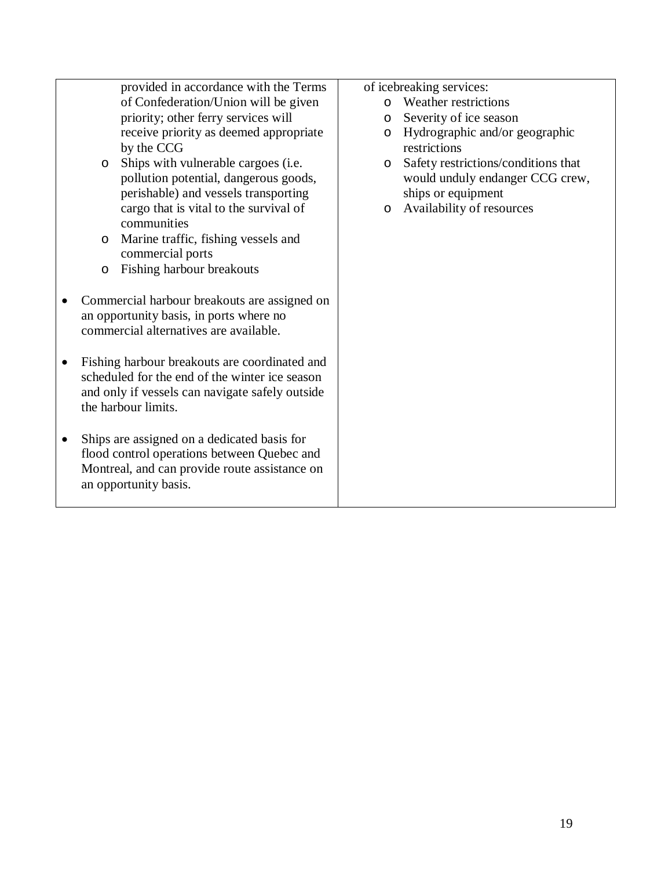| provided in accordance with the Terms                    | of icebreaking services:                       |
|----------------------------------------------------------|------------------------------------------------|
| of Confederation/Union will be given                     | Weather restrictions<br>$\Omega$               |
| priority; other ferry services will                      | Severity of ice season<br>$\circ$              |
| receive priority as deemed appropriate                   | Hydrographic and/or geographic<br>$\circ$      |
| by the CCG                                               | restrictions                                   |
| Ships with vulnerable cargoes (i.e.<br>$\circ$           | Safety restrictions/conditions that<br>$\circ$ |
| pollution potential, dangerous goods,                    | would unduly endanger CCG crew,                |
| perishable) and vessels transporting                     | ships or equipment                             |
| cargo that is vital to the survival of                   | Availability of resources<br>$\circ$           |
| communities                                              |                                                |
| Marine traffic, fishing vessels and<br>$\circ$           |                                                |
| commercial ports                                         |                                                |
| Fishing harbour breakouts<br>$\circ$                     |                                                |
|                                                          |                                                |
| Commercial harbour breakouts are assigned on             |                                                |
| an opportunity basis, in ports where no                  |                                                |
| commercial alternatives are available.                   |                                                |
|                                                          |                                                |
| Fishing harbour breakouts are coordinated and            |                                                |
| scheduled for the end of the winter ice season           |                                                |
| and only if vessels can navigate safely outside          |                                                |
| the harbour limits.                                      |                                                |
|                                                          |                                                |
| Ships are assigned on a dedicated basis for<br>$\bullet$ |                                                |
| flood control operations between Quebec and              |                                                |
| Montreal, and can provide route assistance on            |                                                |
| an opportunity basis.                                    |                                                |
|                                                          |                                                |
|                                                          |                                                |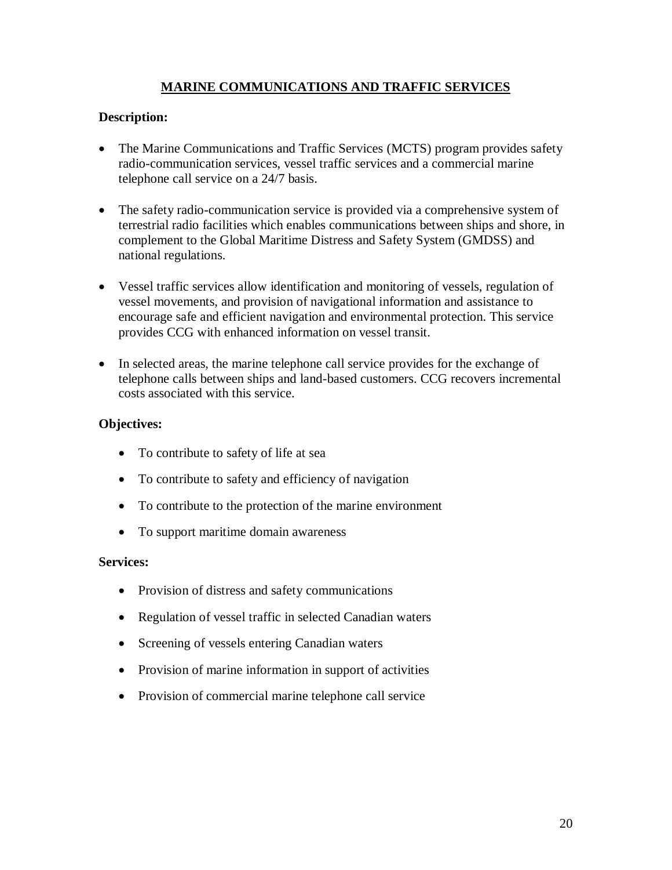## **MARINE COMMUNICATIONS AND TRAFFIC SERVICES**

#### **Description:**

- The Marine Communications and Traffic Services (MCTS) program provides safety radio-communication services, vessel traffic services and a commercial marine telephone call service on a 24/7 basis.
- The safety radio-communication service is provided via a comprehensive system of terrestrial radio facilities which enables communications between ships and shore, in complement to the Global Maritime Distress and Safety System (GMDSS) and national regulations.
- Vessel traffic services allow identification and monitoring of vessels, regulation of vessel movements, and provision of navigational information and assistance to encourage safe and efficient navigation and environmental protection. This service provides CCG with enhanced information on vessel transit.
- In selected areas, the marine telephone call service provides for the exchange of telephone calls between ships and land-based customers. CCG recovers incremental costs associated with this service.

#### **Objectives:**

- To contribute to safety of life at sea
- To contribute to safety and efficiency of navigation
- To contribute to the protection of the marine environment
- To support maritime domain awareness

#### **Services:**

- Provision of distress and safety communications
- Regulation of vessel traffic in selected Canadian waters
- Screening of vessels entering Canadian waters
- Provision of marine information in support of activities
- Provision of commercial marine telephone call service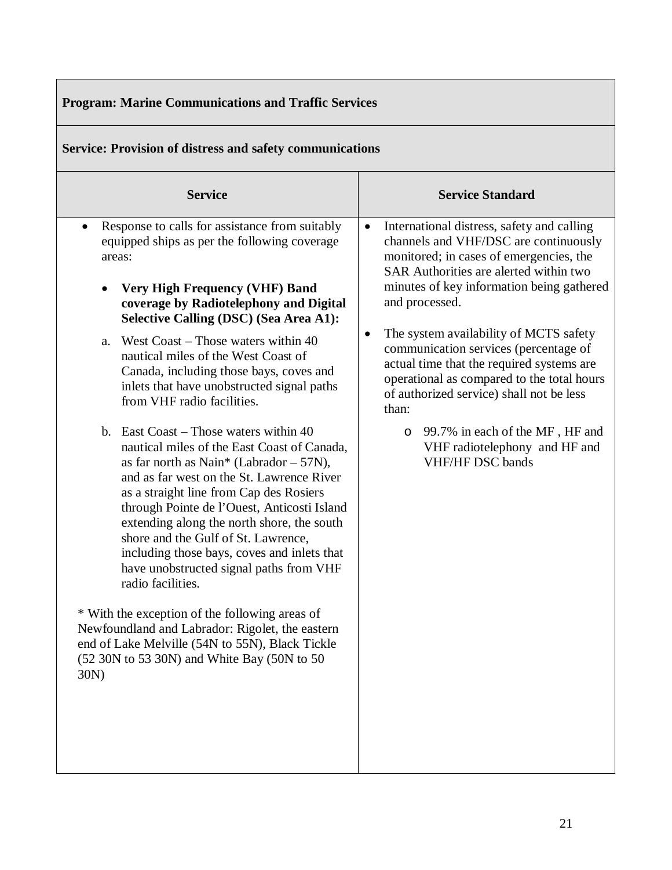| <b>Program: Marine Communications and Traffic Services</b>                                                                                                                                                                                                                                                                                                                                                                                                                                                                                                                                                                                                                                                                                                                                                                                                                                                                                                                                                                                                                                                                                                                                         |                                                                                                                                                                                                                                                                                                                                                                                                                                                                                                                                                                                                        |  |  |
|----------------------------------------------------------------------------------------------------------------------------------------------------------------------------------------------------------------------------------------------------------------------------------------------------------------------------------------------------------------------------------------------------------------------------------------------------------------------------------------------------------------------------------------------------------------------------------------------------------------------------------------------------------------------------------------------------------------------------------------------------------------------------------------------------------------------------------------------------------------------------------------------------------------------------------------------------------------------------------------------------------------------------------------------------------------------------------------------------------------------------------------------------------------------------------------------------|--------------------------------------------------------------------------------------------------------------------------------------------------------------------------------------------------------------------------------------------------------------------------------------------------------------------------------------------------------------------------------------------------------------------------------------------------------------------------------------------------------------------------------------------------------------------------------------------------------|--|--|
| <b>Service: Provision of distress and safety communications</b>                                                                                                                                                                                                                                                                                                                                                                                                                                                                                                                                                                                                                                                                                                                                                                                                                                                                                                                                                                                                                                                                                                                                    |                                                                                                                                                                                                                                                                                                                                                                                                                                                                                                                                                                                                        |  |  |
| <b>Service</b>                                                                                                                                                                                                                                                                                                                                                                                                                                                                                                                                                                                                                                                                                                                                                                                                                                                                                                                                                                                                                                                                                                                                                                                     | <b>Service Standard</b>                                                                                                                                                                                                                                                                                                                                                                                                                                                                                                                                                                                |  |  |
| Response to calls for assistance from suitably<br>$\bullet$<br>equipped ships as per the following coverage<br>areas:<br><b>Very High Frequency (VHF) Band</b><br>$\bullet$<br>coverage by Radiotelephony and Digital<br><b>Selective Calling (DSC) (Sea Area A1):</b><br>West $\text{Coast} - \text{Those waters within } 40$<br>a.<br>nautical miles of the West Coast of<br>Canada, including those bays, coves and<br>inlets that have unobstructed signal paths<br>from VHF radio facilities.<br>b. East Coast – Those waters within 40<br>nautical miles of the East Coast of Canada,<br>as far north as Nain* (Labrador $-57N$ ),<br>and as far west on the St. Lawrence River<br>as a straight line from Cap des Rosiers<br>through Pointe de l'Ouest, Anticosti Island<br>extending along the north shore, the south<br>shore and the Gulf of St. Lawrence,<br>including those bays, coves and inlets that<br>have unobstructed signal paths from VHF<br>radio facilities.<br>* With the exception of the following areas of<br>Newfoundland and Labrador: Rigolet, the eastern<br>end of Lake Melville (54N to 55N), Black Tickle<br>(52 30N to 53 30N) and White Bay (50N to 50<br>30N) | International distress, safety and calling<br>$\bullet$<br>channels and VHF/DSC are continuously<br>monitored; in cases of emergencies, the<br>SAR Authorities are alerted within two<br>minutes of key information being gathered<br>and processed.<br>The system availability of MCTS safety<br>٠<br>communication services (percentage of<br>actual time that the required systems are<br>operational as compared to the total hours<br>of authorized service) shall not be less<br>than:<br>99.7% in each of the MF, HF and<br>$\circ$<br>VHF radiotelephony and HF and<br><b>VHF/HF DSC bands</b> |  |  |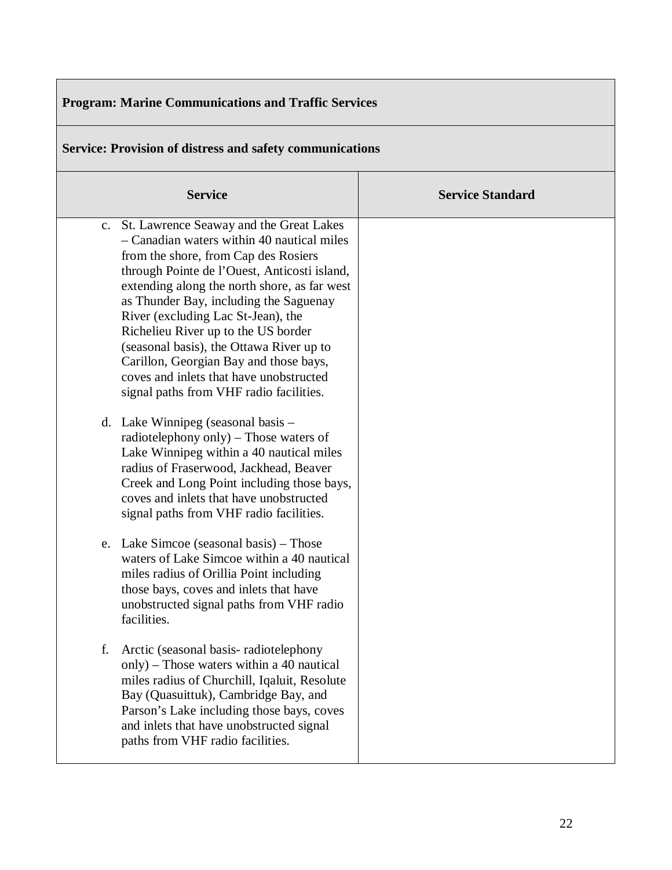| <b>Program: Marine Communications and Traffic Services</b>                                                                                                                                                                                                                                                                                                                                                                                                                                                                          |                         |  |  |
|-------------------------------------------------------------------------------------------------------------------------------------------------------------------------------------------------------------------------------------------------------------------------------------------------------------------------------------------------------------------------------------------------------------------------------------------------------------------------------------------------------------------------------------|-------------------------|--|--|
| <b>Service: Provision of distress and safety communications</b>                                                                                                                                                                                                                                                                                                                                                                                                                                                                     |                         |  |  |
| <b>Service</b>                                                                                                                                                                                                                                                                                                                                                                                                                                                                                                                      | <b>Service Standard</b> |  |  |
| c. St. Lawrence Seaway and the Great Lakes<br>- Canadian waters within 40 nautical miles<br>from the shore, from Cap des Rosiers<br>through Pointe de l'Ouest, Anticosti island,<br>extending along the north shore, as far west<br>as Thunder Bay, including the Saguenay<br>River (excluding Lac St-Jean), the<br>Richelieu River up to the US border<br>(seasonal basis), the Ottawa River up to<br>Carillon, Georgian Bay and those bays,<br>coves and inlets that have unobstructed<br>signal paths from VHF radio facilities. |                         |  |  |
| d. Lake Winnipeg (seasonal basis –<br>radiotelephony only) $-$ Those waters of<br>Lake Winnipeg within a 40 nautical miles<br>radius of Fraserwood, Jackhead, Beaver<br>Creek and Long Point including those bays,<br>coves and inlets that have unobstructed<br>signal paths from VHF radio facilities.                                                                                                                                                                                                                            |                         |  |  |
| e. Lake Simcoe (seasonal basis) – Those<br>waters of Lake Simcoe within a 40 nautical<br>miles radius of Orillia Point including<br>those bays, coves and inlets that have<br>unobstructed signal paths from VHF radio<br>facilities.                                                                                                                                                                                                                                                                                               |                         |  |  |
| Arctic (seasonal basis-radiotelephony<br>f.<br>only) – Those waters within a 40 nautical<br>miles radius of Churchill, Iqaluit, Resolute<br>Bay (Quasuittuk), Cambridge Bay, and<br>Parson's Lake including those bays, coves<br>and inlets that have unobstructed signal<br>paths from VHF radio facilities.                                                                                                                                                                                                                       |                         |  |  |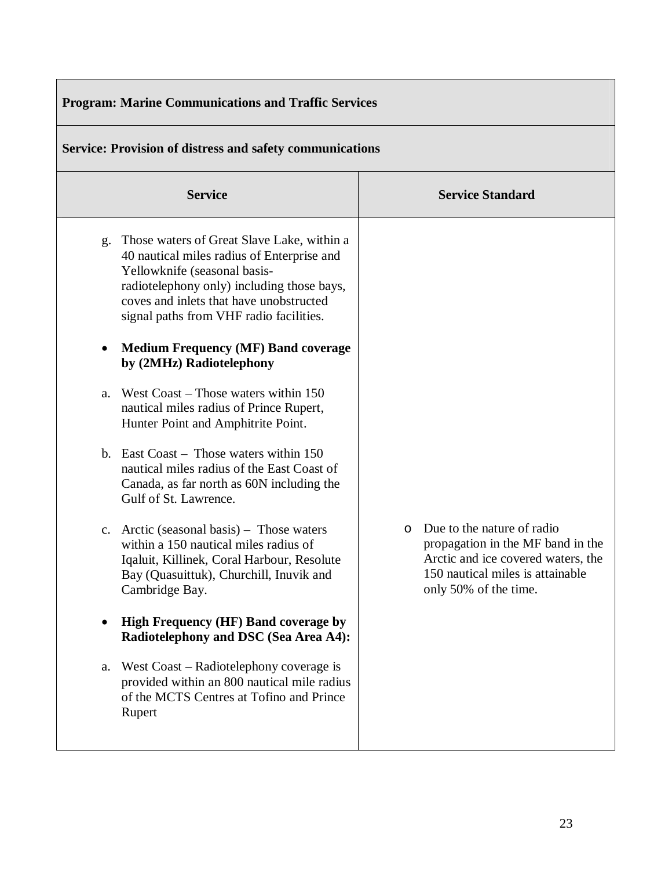| <b>Program: Marine Communications and Traffic Services</b>      |                                                                                                                                                                                                                                                                                                                                                                                                                                                                                                                                                                                                                                                                                                                                                                                                                                                                                                                                                                                                                                                                                   |  |                                                                                                                                                                               |
|-----------------------------------------------------------------|-----------------------------------------------------------------------------------------------------------------------------------------------------------------------------------------------------------------------------------------------------------------------------------------------------------------------------------------------------------------------------------------------------------------------------------------------------------------------------------------------------------------------------------------------------------------------------------------------------------------------------------------------------------------------------------------------------------------------------------------------------------------------------------------------------------------------------------------------------------------------------------------------------------------------------------------------------------------------------------------------------------------------------------------------------------------------------------|--|-------------------------------------------------------------------------------------------------------------------------------------------------------------------------------|
| <b>Service: Provision of distress and safety communications</b> |                                                                                                                                                                                                                                                                                                                                                                                                                                                                                                                                                                                                                                                                                                                                                                                                                                                                                                                                                                                                                                                                                   |  |                                                                                                                                                                               |
|                                                                 | <b>Service</b>                                                                                                                                                                                                                                                                                                                                                                                                                                                                                                                                                                                                                                                                                                                                                                                                                                                                                                                                                                                                                                                                    |  | <b>Service Standard</b>                                                                                                                                                       |
| g.<br>a.<br>a.                                                  | Those waters of Great Slave Lake, within a<br>40 nautical miles radius of Enterprise and<br>Yellowknife (seasonal basis-<br>radiotelephony only) including those bays,<br>coves and inlets that have unobstructed<br>signal paths from VHF radio facilities.<br><b>Medium Frequency (MF) Band coverage</b><br>by (2MHz) Radiotelephony<br>West $\text{Coast} - \text{Those waters within } 150$<br>nautical miles radius of Prince Rupert,<br>Hunter Point and Amphitrite Point.<br>b. East Coast – Those waters within 150<br>nautical miles radius of the East Coast of<br>Canada, as far north as 60N including the<br>Gulf of St. Lawrence.<br>c. Arctic (seasonal basis) – Those waters<br>within a 150 nautical miles radius of<br>Iqaluit, Killinek, Coral Harbour, Resolute<br>Bay (Quasuittuk), Churchill, Inuvik and<br>Cambridge Bay.<br>High Frequency (HF) Band coverage by<br>Radiotelephony and DSC (Sea Area A4):<br>West Coast – Radiotelephony coverage is<br>provided within an 800 nautical mile radius<br>of the MCTS Centres at Tofino and Prince<br>Rupert |  | Due to the nature of radio<br>$\circ$<br>propagation in the MF band in the<br>Arctic and ice covered waters, the<br>150 nautical miles is attainable<br>only 50% of the time. |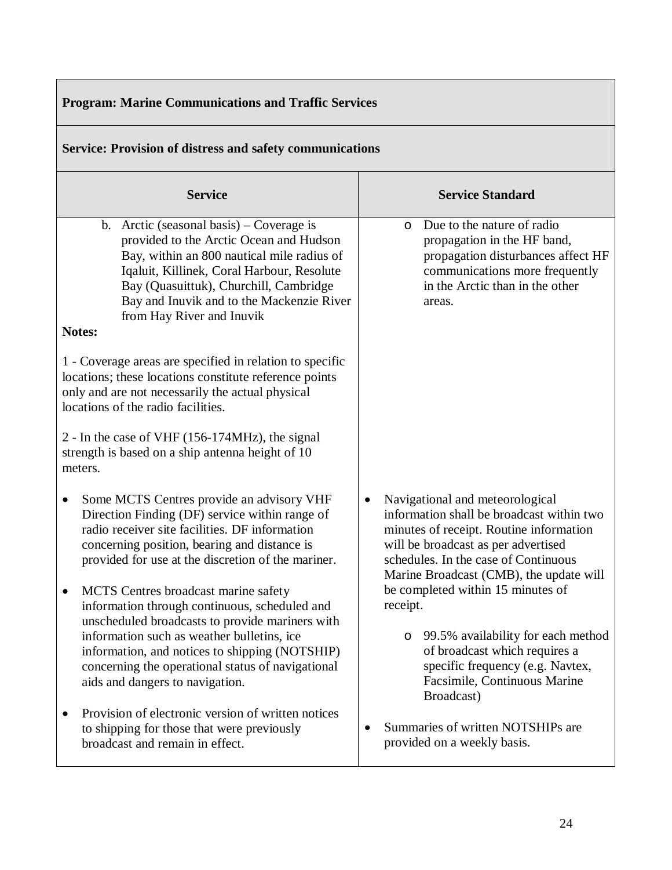| <b>Program: Marine Communications and Traffic Services</b>                                                                                                                                                                                                                                                                       |                                                                                                                                                                                                                                                        |  |  |
|----------------------------------------------------------------------------------------------------------------------------------------------------------------------------------------------------------------------------------------------------------------------------------------------------------------------------------|--------------------------------------------------------------------------------------------------------------------------------------------------------------------------------------------------------------------------------------------------------|--|--|
| <b>Service: Provision of distress and safety communications</b>                                                                                                                                                                                                                                                                  |                                                                                                                                                                                                                                                        |  |  |
| <b>Service</b>                                                                                                                                                                                                                                                                                                                   | <b>Service Standard</b>                                                                                                                                                                                                                                |  |  |
| b. Arctic (seasonal basis) – Coverage is<br>provided to the Arctic Ocean and Hudson<br>Bay, within an 800 nautical mile radius of<br>Iqaluit, Killinek, Coral Harbour, Resolute<br>Bay (Quasuittuk), Churchill, Cambridge<br>Bay and Inuvik and to the Mackenzie River<br>from Hay River and Inuvik<br><b>Notes:</b>             | Due to the nature of radio<br>$\Omega$<br>propagation in the HF band,<br>propagation disturbances affect HF<br>communications more frequently<br>in the Arctic than in the other<br>areas.                                                             |  |  |
| 1 - Coverage areas are specified in relation to specific<br>locations; these locations constitute reference points<br>only and are not necessarily the actual physical<br>locations of the radio facilities.                                                                                                                     |                                                                                                                                                                                                                                                        |  |  |
| 2 - In the case of VHF (156-174MHz), the signal<br>strength is based on a ship antenna height of 10<br>meters.                                                                                                                                                                                                                   |                                                                                                                                                                                                                                                        |  |  |
| Some MCTS Centres provide an advisory VHF<br>٠<br>Direction Finding (DF) service within range of<br>radio receiver site facilities. DF information<br>concerning position, bearing and distance is<br>provided for use at the discretion of the mariner.                                                                         | Navigational and meteorological<br>٠<br>information shall be broadcast within two<br>minutes of receipt. Routine information<br>will be broadcast as per advertised<br>schedules. In the case of Continuous<br>Marine Broadcast (CMB), the update will |  |  |
| MCTS Centres broadcast marine safety<br>information through continuous, scheduled and<br>unscheduled broadcasts to provide mariners with<br>information such as weather bulletins, ice<br>information, and notices to shipping (NOTSHIP)<br>concerning the operational status of navigational<br>aids and dangers to navigation. | be completed within 15 minutes of<br>receipt.<br>99.5% availability for each method<br>$\circ$<br>of broadcast which requires a<br>specific frequency (e.g. Navtex,<br>Facsimile, Continuous Marine<br>Broadcast)                                      |  |  |
| Provision of electronic version of written notices<br>to shipping for those that were previously<br>broadcast and remain in effect.                                                                                                                                                                                              | Summaries of written NOTSHIPs are<br>provided on a weekly basis.                                                                                                                                                                                       |  |  |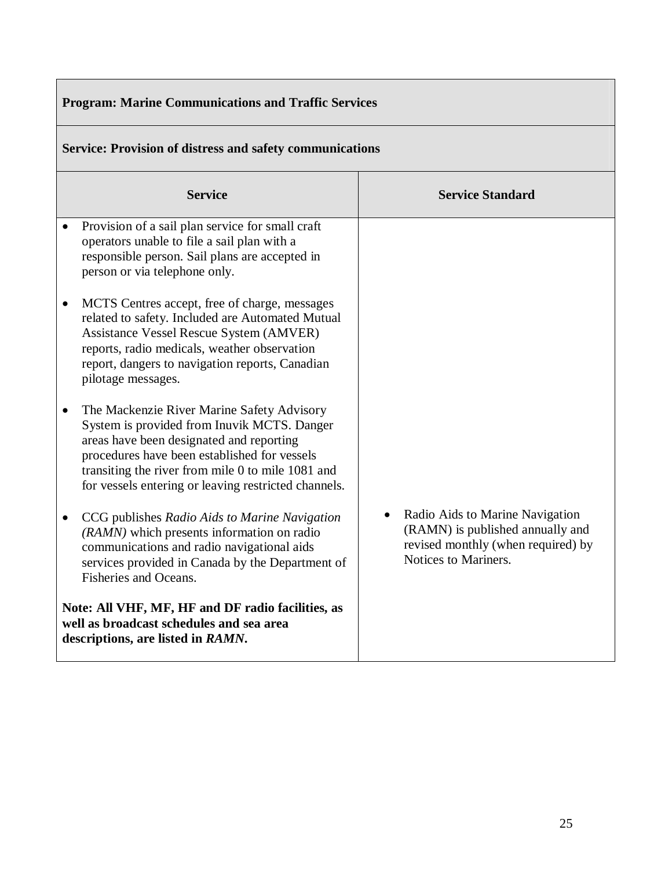| <b>Program: Marine Communications and Traffic Services</b>                                                                         |                                                                                                                                                                                                                                                                                                    |                                                                                                                                   |
|------------------------------------------------------------------------------------------------------------------------------------|----------------------------------------------------------------------------------------------------------------------------------------------------------------------------------------------------------------------------------------------------------------------------------------------------|-----------------------------------------------------------------------------------------------------------------------------------|
|                                                                                                                                    | <b>Service: Provision of distress and safety communications</b>                                                                                                                                                                                                                                    |                                                                                                                                   |
|                                                                                                                                    | <b>Service</b>                                                                                                                                                                                                                                                                                     | <b>Service Standard</b>                                                                                                           |
|                                                                                                                                    | Provision of a sail plan service for small craft<br>operators unable to file a sail plan with a<br>responsible person. Sail plans are accepted in<br>person or via telephone only.                                                                                                                 |                                                                                                                                   |
| $\bullet$                                                                                                                          | MCTS Centres accept, free of charge, messages<br>related to safety. Included are Automated Mutual<br>Assistance Vessel Rescue System (AMVER)<br>reports, radio medicals, weather observation<br>report, dangers to navigation reports, Canadian<br>pilotage messages.                              |                                                                                                                                   |
|                                                                                                                                    | The Mackenzie River Marine Safety Advisory<br>System is provided from Inuvik MCTS. Danger<br>areas have been designated and reporting<br>procedures have been established for vessels<br>transiting the river from mile 0 to mile 1081 and<br>for vessels entering or leaving restricted channels. |                                                                                                                                   |
| ٠                                                                                                                                  | CCG publishes Radio Aids to Marine Navigation<br>(RAMN) which presents information on radio<br>communications and radio navigational aids<br>services provided in Canada by the Department of<br>Fisheries and Oceans.                                                                             | Radio Aids to Marine Navigation<br>(RAMN) is published annually and<br>revised monthly (when required) by<br>Notices to Mariners. |
| Note: All VHF, MF, HF and DF radio facilities, as<br>well as broadcast schedules and sea area<br>descriptions, are listed in RAMN. |                                                                                                                                                                                                                                                                                                    |                                                                                                                                   |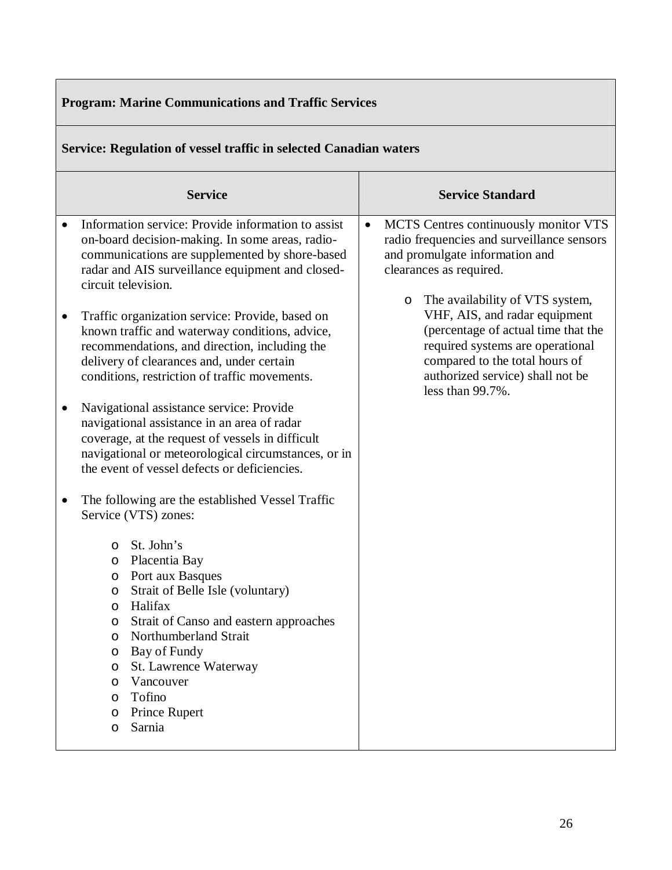#### **Program: Marine Communications and Traffic Services Service: Regulation of vessel traffic in selected Canadian waters Service Service Standard** • Information service: Provide information to assist on-board decision-making. In some areas, radiocommunications are supplemented by shore-based radar and AIS surveillance equipment and closedcircuit television. • Traffic organization service: Provide, based on known traffic and waterway conditions, advice, recommendations, and direction, including the delivery of clearances and, under certain conditions, restriction of traffic movements. Navigational assistance service: Provide navigational assistance in an area of radar coverage, at the request of vessels in difficult navigational or meteorological circumstances, or in the event of vessel defects or deficiencies. • The following are the established Vessel Traffic Service (VTS) zones: o St. John's o Placentia Bay o Port aux Basques o Strait of Belle Isle (voluntary) o Halifax o Strait of Canso and eastern approaches o Northumberland Strait o Bay of Fundy o St. Lawrence Waterway o Vancouver o Tofino o Prince Rupert o Sarnia • MCTS Centres continuously monitor VTS radio frequencies and surveillance sensors and promulgate information and clearances as required. o The availability of VTS system, VHF, AIS, and radar equipment (percentage of actual time that the required systems are operational compared to the total hours of authorized service) shall not be less than 99.7%.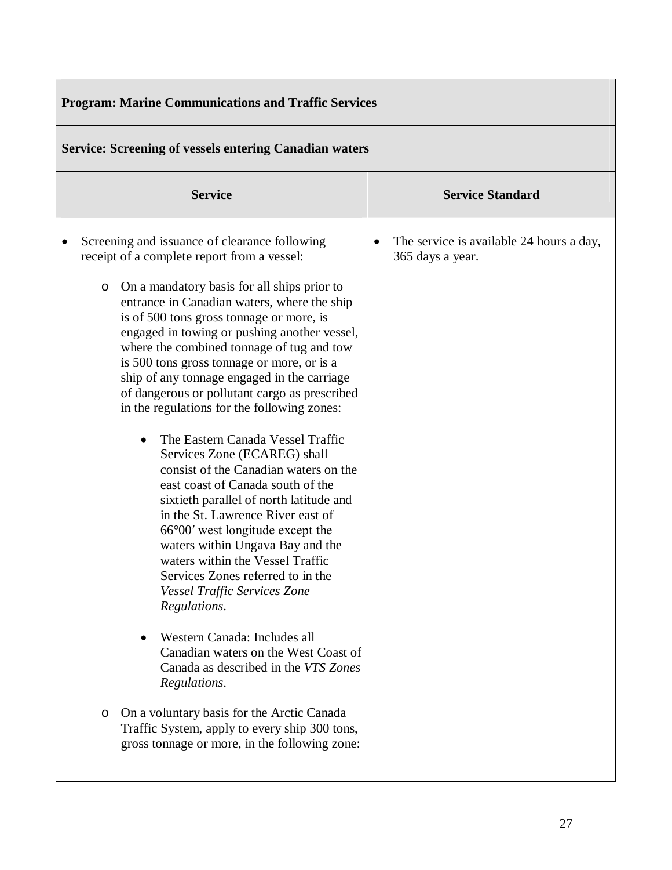| <b>Program: Marine Communications and Traffic Services</b>                                                                                                                                                                                                                                                                                                                                                                                                                                                                                                                                                                                                                                                                                                                                                                                                                                                                                                                                                                                                                                                                                                                                                                                                                     |                                                              |  |
|--------------------------------------------------------------------------------------------------------------------------------------------------------------------------------------------------------------------------------------------------------------------------------------------------------------------------------------------------------------------------------------------------------------------------------------------------------------------------------------------------------------------------------------------------------------------------------------------------------------------------------------------------------------------------------------------------------------------------------------------------------------------------------------------------------------------------------------------------------------------------------------------------------------------------------------------------------------------------------------------------------------------------------------------------------------------------------------------------------------------------------------------------------------------------------------------------------------------------------------------------------------------------------|--------------------------------------------------------------|--|
| <b>Service: Screening of vessels entering Canadian waters</b>                                                                                                                                                                                                                                                                                                                                                                                                                                                                                                                                                                                                                                                                                                                                                                                                                                                                                                                                                                                                                                                                                                                                                                                                                  |                                                              |  |
| <b>Service</b>                                                                                                                                                                                                                                                                                                                                                                                                                                                                                                                                                                                                                                                                                                                                                                                                                                                                                                                                                                                                                                                                                                                                                                                                                                                                 | <b>Service Standard</b>                                      |  |
| Screening and issuance of clearance following<br>receipt of a complete report from a vessel:<br>On a mandatory basis for all ships prior to<br>O<br>entrance in Canadian waters, where the ship<br>is of 500 tons gross tonnage or more, is<br>engaged in towing or pushing another vessel,<br>where the combined tonnage of tug and tow<br>is 500 tons gross tonnage or more, or is a<br>ship of any tonnage engaged in the carriage<br>of dangerous or pollutant cargo as prescribed<br>in the regulations for the following zones:<br>The Eastern Canada Vessel Traffic<br>Services Zone (ECAREG) shall<br>consist of the Canadian waters on the<br>east coast of Canada south of the<br>sixtieth parallel of north latitude and<br>in the St. Lawrence River east of<br>$66^{\circ}00'$ west longitude except the<br>waters within Ungava Bay and the<br>waters within the Vessel Traffic<br>Services Zones referred to in the<br><b>Vessel Traffic Services Zone</b><br>Regulations.<br>Western Canada: Includes all<br>Canadian waters on the West Coast of<br>Canada as described in the VTS Zones<br>Regulations.<br>On a voluntary basis for the Arctic Canada<br>O<br>Traffic System, apply to every ship 300 tons,<br>gross tonnage or more, in the following zone: | The service is available 24 hours a day,<br>365 days a year. |  |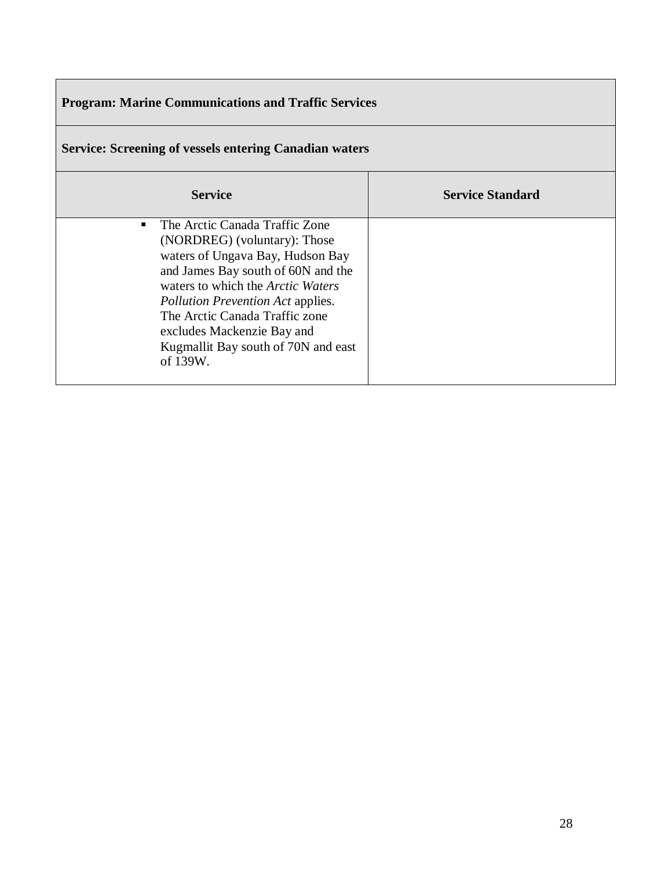# **Program: Marine Communications and Traffic Services**

| <b>Service: Screening of vessels entering Canadian waters</b>                                                                                                                                                                                                                                                                                       |                         |  |
|-----------------------------------------------------------------------------------------------------------------------------------------------------------------------------------------------------------------------------------------------------------------------------------------------------------------------------------------------------|-------------------------|--|
| <b>Service</b>                                                                                                                                                                                                                                                                                                                                      | <b>Service Standard</b> |  |
| The Arctic Canada Traffic Zone<br>(NORDREG) (voluntary): Those<br>waters of Ungava Bay, Hudson Bay<br>and James Bay south of 60N and the<br>waters to which the <i>Arctic Waters</i><br><i>Pollution Prevention Act applies.</i><br>The Arctic Canada Traffic zone<br>excludes Mackenzie Bay and<br>Kugmallit Bay south of 70N and east<br>of 139W. |                         |  |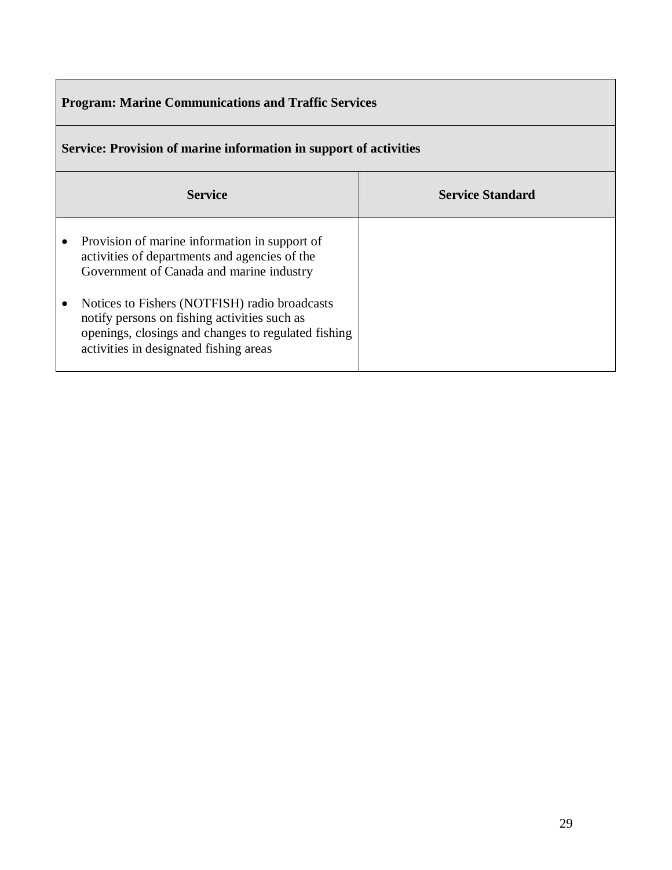# **Program: Marine Communications and Traffic Services**

| Sei vice. I rovision of marine information in support of activities                                                                                                                            |                         |  |  |  |
|------------------------------------------------------------------------------------------------------------------------------------------------------------------------------------------------|-------------------------|--|--|--|
| <b>Service</b>                                                                                                                                                                                 | <b>Service Standard</b> |  |  |  |
| Provision of marine information in support of<br>activities of departments and agencies of the<br>Government of Canada and marine industry                                                     |                         |  |  |  |
| Notices to Fishers (NOTFISH) radio broadcasts<br>notify persons on fishing activities such as<br>openings, closings and changes to regulated fishing<br>activities in designated fishing areas |                         |  |  |  |

# **Service: Provision of marine information in support of activities**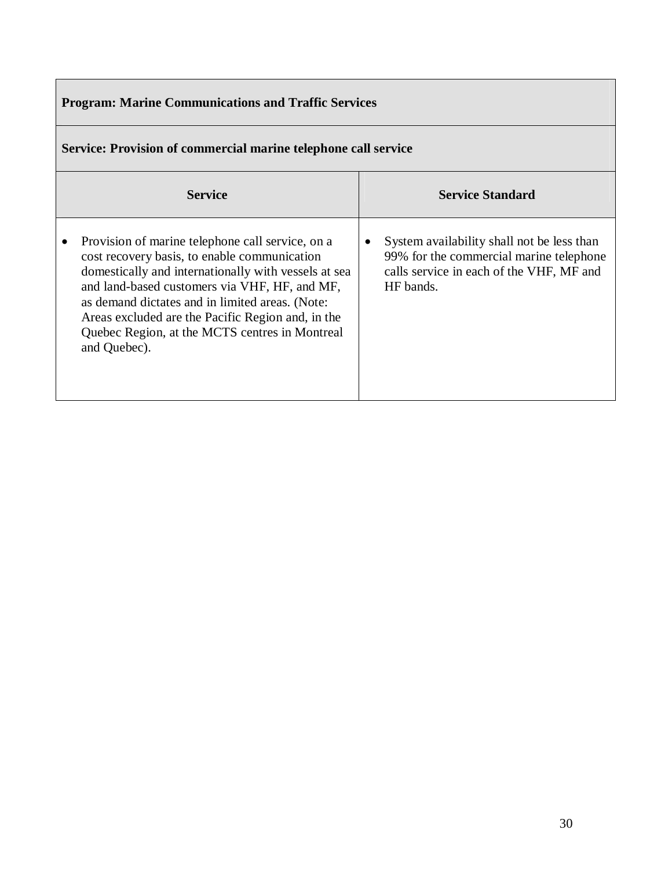| <b>Program: Marine Communications and Traffic Services</b>                                                                                                                                                                                                                                                                                                                          |                                                                                                                                                     |  |  |  |
|-------------------------------------------------------------------------------------------------------------------------------------------------------------------------------------------------------------------------------------------------------------------------------------------------------------------------------------------------------------------------------------|-----------------------------------------------------------------------------------------------------------------------------------------------------|--|--|--|
| Service: Provision of commercial marine telephone call service                                                                                                                                                                                                                                                                                                                      |                                                                                                                                                     |  |  |  |
| <b>Service</b>                                                                                                                                                                                                                                                                                                                                                                      | <b>Service Standard</b>                                                                                                                             |  |  |  |
| Provision of marine telephone call service, on a<br>cost recovery basis, to enable communication<br>domestically and internationally with vessels at sea<br>and land-based customers via VHF, HF, and MF,<br>as demand dictates and in limited areas. (Note:<br>Areas excluded are the Pacific Region and, in the<br>Quebec Region, at the MCTS centres in Montreal<br>and Quebec). | System availability shall not be less than<br>٠<br>99% for the commercial marine telephone<br>calls service in each of the VHF, MF and<br>HF bands. |  |  |  |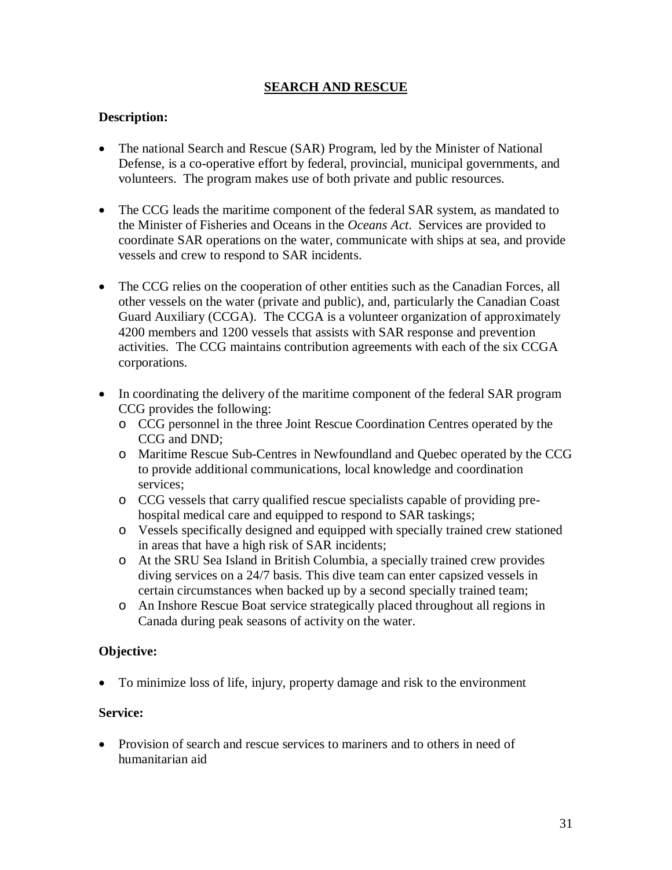#### **SEARCH AND RESCUE**

#### **Description:**

- The national Search and Rescue (SAR) Program, led by the Minister of National Defense, is a co-operative effort by federal, provincial, municipal governments, and volunteers. The program makes use of both private and public resources.
- The CCG leads the maritime component of the federal SAR system, as mandated to the Minister of Fisheries and Oceans in the *Oceans Act*. Services are provided to coordinate SAR operations on the water, communicate with ships at sea, and provide vessels and crew to respond to SAR incidents.
- The CCG relies on the cooperation of other entities such as the Canadian Forces, all other vessels on the water (private and public), and, particularly the Canadian Coast Guard Auxiliary (CCGA). The CCGA is a volunteer organization of approximately 4200 members and 1200 vessels that assists with SAR response and prevention activities. The CCG maintains contribution agreements with each of the six CCGA corporations.
- In coordinating the delivery of the maritime component of the federal SAR program CCG provides the following:
	- o CCG personnel in the three Joint Rescue Coordination Centres operated by the CCG and DND;
	- o Maritime Rescue Sub-Centres in Newfoundland and Quebec operated by the CCG to provide additional communications, local knowledge and coordination services;
	- o CCG vessels that carry qualified rescue specialists capable of providing prehospital medical care and equipped to respond to SAR taskings;
	- o Vessels specifically designed and equipped with specially trained crew stationed in areas that have a high risk of SAR incidents;
	- o At the SRU Sea Island in British Columbia, a specially trained crew provides diving services on a 24/7 basis. This dive team can enter capsized vessels in certain circumstances when backed up by a second specially trained team;
	- o An Inshore Rescue Boat service strategically placed throughout all regions in Canada during peak seasons of activity on the water.

#### **Objective:**

To minimize loss of life, injury, property damage and risk to the environment

#### **Service:**

• Provision of search and rescue services to mariners and to others in need of humanitarian aid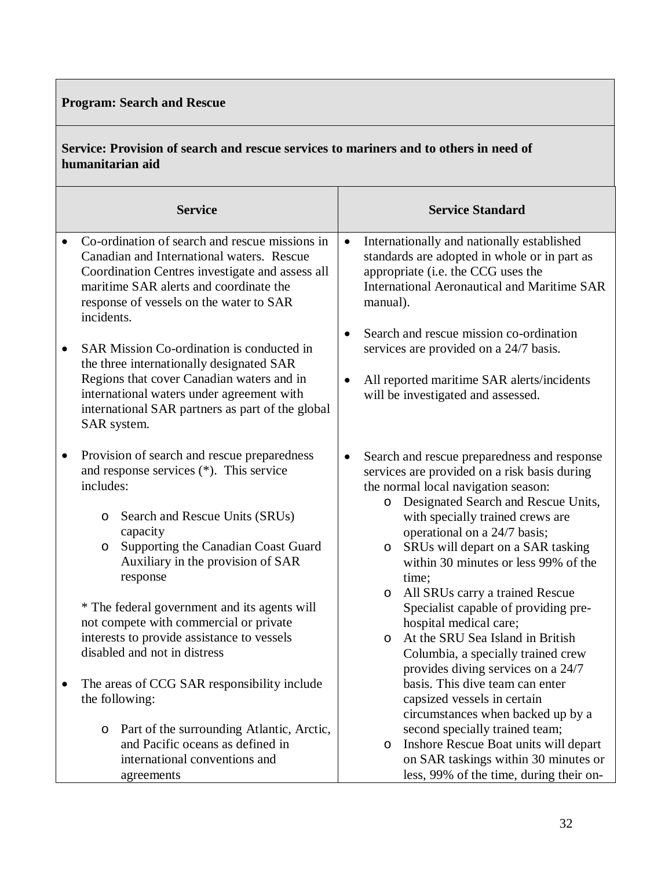# **Program: Search and Rescue**

## **Service: Provision of search and rescue services to mariners and to others in need of humanitarian aid**

|           | <b>Service</b>                                                                                                                                                                                                                                            | <b>Service Standard</b>                                                                                                                                                                                                                                                                                                                                  |  |  |
|-----------|-----------------------------------------------------------------------------------------------------------------------------------------------------------------------------------------------------------------------------------------------------------|----------------------------------------------------------------------------------------------------------------------------------------------------------------------------------------------------------------------------------------------------------------------------------------------------------------------------------------------------------|--|--|
|           | Co-ordination of search and rescue missions in<br>Canadian and International waters. Rescue<br>Coordination Centres investigate and assess all<br>maritime SAR alerts and coordinate the<br>response of vessels on the water to SAR<br>incidents.         | Internationally and nationally established<br>$\bullet$<br>standards are adopted in whole or in part as<br>appropriate (i.e. the CCG uses the<br><b>International Aeronautical and Maritime SAR</b><br>manual).                                                                                                                                          |  |  |
| $\bullet$ | SAR Mission Co-ordination is conducted in<br>the three internationally designated SAR<br>Regions that cover Canadian waters and in<br>international waters under agreement with<br>international SAR partners as part of the global<br>SAR system.        | Search and rescue mission co-ordination<br>$\bullet$<br>services are provided on a 24/7 basis.<br>All reported maritime SAR alerts/incidents<br>$\bullet$<br>will be investigated and assessed.                                                                                                                                                          |  |  |
| $\bullet$ | Provision of search and rescue preparedness<br>and response services (*). This service<br>includes:<br>Search and Rescue Units (SRUs)<br>O<br>capacity<br>Supporting the Canadian Coast Guard<br>$\circ$<br>Auxiliary in the provision of SAR<br>response | Search and rescue preparedness and response<br>٠<br>services are provided on a risk basis during<br>the normal local navigation season:<br>Designated Search and Rescue Units,<br>$\circ$<br>with specially trained crews are<br>operational on a 24/7 basis;<br>SRUs will depart on a SAR tasking<br>O<br>within 30 minutes or less 99% of the<br>time; |  |  |
|           | * The federal government and its agents will<br>not compete with commercial or private<br>interests to provide assistance to vessels<br>disabled and not in distress<br>The areas of CCG SAR responsibility include                                       | All SRUs carry a trained Rescue<br>$\circ$<br>Specialist capable of providing pre-<br>hospital medical care;<br>At the SRU Sea Island in British<br>O<br>Columbia, a specially trained crew<br>provides diving services on a 24/7<br>basis. This dive team can enter                                                                                     |  |  |
|           | the following:<br>Part of the surrounding Atlantic, Arctic,<br>O<br>and Pacific oceans as defined in<br>international conventions and<br>agreements                                                                                                       | capsized vessels in certain<br>circumstances when backed up by a<br>second specially trained team;<br>Inshore Rescue Boat units will depart<br>O<br>on SAR taskings within 30 minutes or<br>less, 99% of the time, during their on-                                                                                                                      |  |  |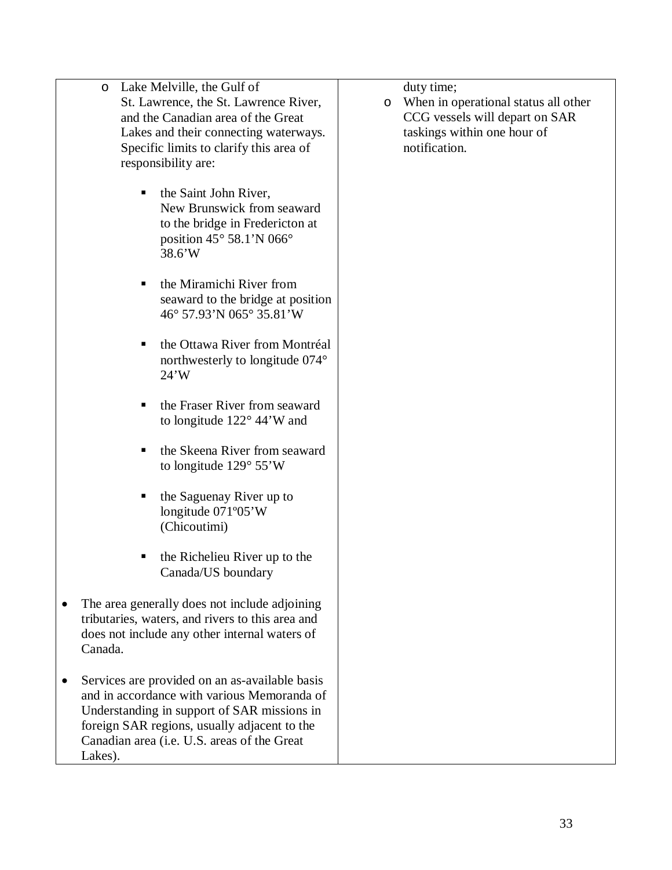- o Lake Melville, the Gulf of St. Lawrence, the St. Lawrence River, and the Canadian area of the Great Lakes and their connecting waterways. Specific limits to clarify this area of responsibility are:
	- the Saint John River, New Brunswick from seaward to the bridge in Fredericton at position 45° 58.1'N 066° 38.6'W
	- the Miramichi River from seaward to the bridge at position 46° 57.93'N 065° 35.81'W
	- the Ottawa River from Montréal northwesterly to longitude 074° 24'W
	- the Fraser River from seaward to longitude 122° 44'W and
	- the Skeena River from seaward to longitude 129° 55'W
	- $\blacksquare$  the Saguenay River up to longitude 071º05'W (Chicoutimi)
	- $\blacksquare$  the Richelieu River up to the Canada/US boundary
- The area generally does not include adjoining tributaries, waters, and rivers to this area and does not include any other internal waters of Canada.
- Services are provided on an as-available basis and in accordance with various Memoranda of Understanding in support of SAR missions in foreign SAR regions, usually adjacent to the Canadian area (i.e. U.S. areas of the Great Lakes).

duty time;

o When in operational status all other CCG vessels will depart on SAR taskings within one hour of notification.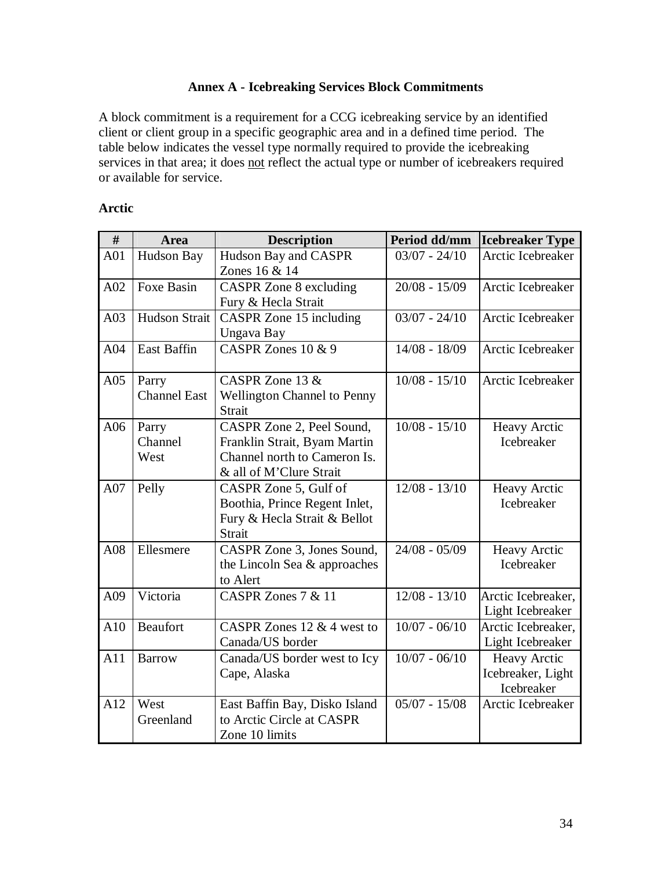## **Annex A - Icebreaking Services Block Commitments**

A block commitment is a requirement for a CCG icebreaking service by an identified client or client group in a specific geographic area and in a defined time period. The table below indicates the vessel type normally required to provide the icebreaking services in that area; it does not reflect the actual type or number of icebreakers required or available for service.

## **Arctic**

| #   | <b>Area</b>                  | <b>Description</b>                                                                                                   | Period dd/mm    | <b>Icebreaker Type</b>                                 |
|-----|------------------------------|----------------------------------------------------------------------------------------------------------------------|-----------------|--------------------------------------------------------|
| A01 | Hudson Bay                   | Hudson Bay and CASPR<br>Zones 16 & 14                                                                                | $03/07 - 24/10$ | Arctic Icebreaker                                      |
| A02 | Foxe Basin                   | <b>CASPR</b> Zone 8 excluding<br>Fury & Hecla Strait                                                                 | $20/08 - 15/09$ | Arctic Icebreaker                                      |
| A03 | Hudson Strait                | CASPR Zone 15 including<br>Ungava Bay                                                                                | $03/07 - 24/10$ | Arctic Icebreaker                                      |
| A04 | East Baffin                  | CASPR Zones 10 & 9                                                                                                   | $14/08 - 18/09$ | Arctic Icebreaker                                      |
| A05 | Parry<br><b>Channel East</b> | CASPR Zone 13 &<br><b>Wellington Channel to Penny</b><br>Strait                                                      | $10/08 - 15/10$ | Arctic Icebreaker                                      |
| A06 | Parry<br>Channel<br>West     | CASPR Zone 2, Peel Sound,<br>Franklin Strait, Byam Martin<br>Channel north to Cameron Is.<br>& all of M'Clure Strait | $10/08 - 15/10$ | Heavy Arctic<br>Icebreaker                             |
| A07 | Pelly                        | CASPR Zone 5, Gulf of<br>Boothia, Prince Regent Inlet,<br>Fury & Hecla Strait & Bellot<br>Strait                     | $12/08 - 13/10$ | <b>Heavy Arctic</b><br>Icebreaker                      |
| A08 | Ellesmere                    | CASPR Zone 3, Jones Sound,<br>the Lincoln Sea & approaches<br>to Alert                                               | $24/08 - 05/09$ | <b>Heavy Arctic</b><br>Icebreaker                      |
| A09 | Victoria                     | CASPR Zones 7 & 11                                                                                                   | $12/08 - 13/10$ | Arctic Icebreaker,<br>Light Icebreaker                 |
| A10 | <b>Beaufort</b>              | CASPR Zones 12 $&$ 4 west to<br>Canada/US border                                                                     | $10/07 - 06/10$ | Arctic Icebreaker,<br>Light Icebreaker                 |
| A11 | <b>Barrow</b>                | Canada/US border west to Icy<br>Cape, Alaska                                                                         | $10/07 - 06/10$ | <b>Heavy Arctic</b><br>Icebreaker, Light<br>Icebreaker |
| A12 | West<br>Greenland            | East Baffin Bay, Disko Island<br>to Arctic Circle at CASPR<br>Zone 10 limits                                         | $05/07 - 15/08$ | Arctic Icebreaker                                      |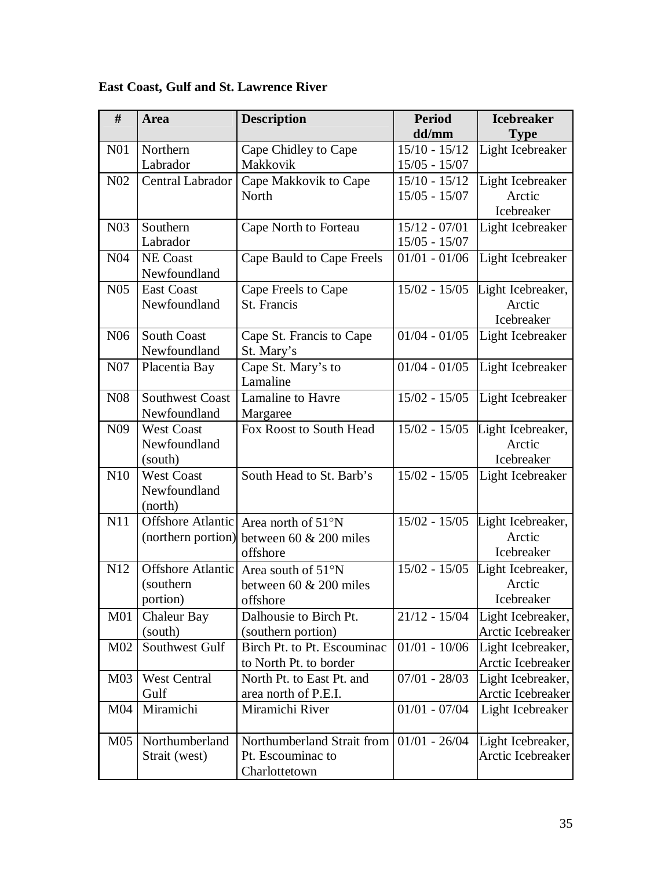| #                | Area                   | <b>Description</b>                         | <b>Period</b>   | <b>Icebreaker</b> |
|------------------|------------------------|--------------------------------------------|-----------------|-------------------|
|                  |                        |                                            | dd/mm           | <b>Type</b>       |
| N <sub>01</sub>  | Northern               | Cape Chidley to Cape                       | $15/10 - 15/12$ | Light Icebreaker  |
|                  | Labrador               | Makkovik                                   | $15/05 - 15/07$ |                   |
| N <sub>0</sub> 2 | Central Labrador       | Cape Makkovik to Cape                      | $15/10 - 15/12$ | Light Icebreaker  |
|                  |                        | North                                      | $15/05 - 15/07$ | Arctic            |
|                  |                        |                                            |                 | Icebreaker        |
| N <sub>03</sub>  | Southern               | Cape North to Forteau                      | $15/12 - 07/01$ | Light Icebreaker  |
|                  | Labrador               |                                            | $15/05 - 15/07$ |                   |
| N04              | <b>NE</b> Coast        | Cape Bauld to Cape Freels                  | $01/01 - 01/06$ | Light Icebreaker  |
|                  | Newfoundland           |                                            |                 |                   |
| N05              | <b>East Coast</b>      | Cape Freels to Cape                        | $15/02 - 15/05$ | Light Icebreaker, |
|                  | Newfoundland           | St. Francis                                |                 | Arctic            |
|                  |                        |                                            |                 | Icebreaker        |
| N <sub>06</sub>  | <b>South Coast</b>     | Cape St. Francis to Cape                   | $01/04 - 01/05$ | Light Icebreaker  |
|                  | Newfoundland           | St. Mary's                                 |                 |                   |
| N07              | Placentia Bay          | Cape St. Mary's to                         | $01/04 - 01/05$ | Light Icebreaker  |
|                  |                        | Lamaline                                   |                 |                   |
| N <sub>0</sub> 8 | <b>Southwest Coast</b> | Lamaline to Havre                          | $15/02 - 15/05$ | Light Icebreaker  |
|                  | Newfoundland           | Margaree                                   |                 |                   |
| N <sub>09</sub>  | <b>West Coast</b>      | Fox Roost to South Head                    | $15/02 - 15/05$ | Light Icebreaker, |
|                  | Newfoundland           |                                            |                 | Arctic            |
|                  | (south)                |                                            |                 | Icebreaker        |
| N10              | <b>West Coast</b>      | South Head to St. Barb's                   | $15/02 - 15/05$ | Light Icebreaker  |
|                  | Newfoundland           |                                            |                 |                   |
|                  | (north)                |                                            |                 |                   |
| N11              |                        | Offshore Atlantic Area north of 51°N       | $15/02 - 15/05$ | Light Icebreaker, |
|                  | (northern portion)     | between 60 & 200 miles                     |                 | Arctic            |
|                  |                        | offshore                                   |                 | Icebreaker        |
| N12              | Offshore Atlantic      | Area south of 51°N                         | $15/02 - 15/05$ | Light Icebreaker, |
|                  | (southern)             | between 60 $& 200$ miles                   |                 | Arctic            |
|                  | portion)               | offshore                                   |                 | Icebreaker        |
| M <sub>01</sub>  | Chaleur Bay            | Dalhousie to Birch Pt.                     | $21/12 - 15/04$ | Light Icebreaker, |
|                  | (south)                | (southern portion)                         |                 | Arctic Icebreaker |
| M <sub>02</sub>  | Southwest Gulf         | Birch Pt. to Pt. Escouminac                | $01/01 - 10/06$ | Light Icebreaker, |
|                  |                        | to North Pt. to border                     |                 | Arctic Icebreaker |
| M <sub>03</sub>  | <b>West Central</b>    | North Pt. to East Pt. and                  | $07/01 - 28/03$ | Light Icebreaker, |
|                  | Gulf                   | area north of P.E.I.                       |                 | Arctic Icebreaker |
| M <sub>04</sub>  | Miramichi              | Miramichi River                            | $01/01 - 07/04$ | Light Icebreaker  |
|                  |                        |                                            |                 |                   |
| M <sub>05</sub>  | Northumberland         | Northumberland Strait from   01/01 - 26/04 |                 | Light Icebreaker, |
|                  | Strait (west)          | Pt. Escouminac to                          |                 | Arctic Icebreaker |
|                  |                        | Charlottetown                              |                 |                   |

# **East Coast, Gulf and St. Lawrence River**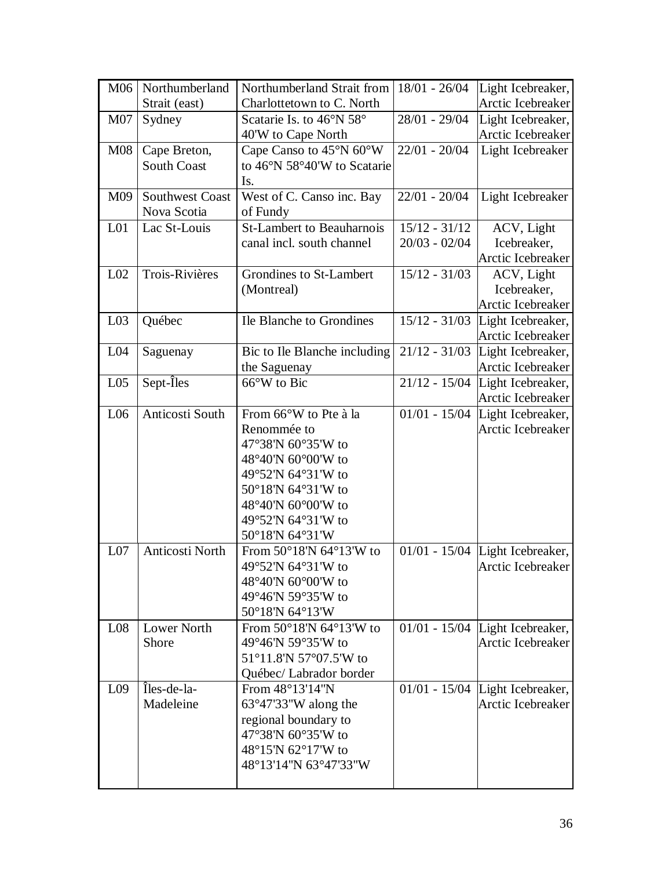| M06             | Northumberland         | Northumberland Strait from                 | $18/01 - 26/04$            | Light Icebreaker,                 |
|-----------------|------------------------|--------------------------------------------|----------------------------|-----------------------------------|
|                 | Strait (east)          | Charlottetown to C. North                  |                            | Arctic Icebreaker                 |
| M <sub>07</sub> | Sydney                 | Scatarie Is. to 46°N 58°                   | $28/01 - 29/04$            | Light Icebreaker,                 |
|                 |                        | 40'W to Cape North                         |                            | Arctic Icebreaker                 |
| <b>M08</b>      | Cape Breton,           | Cape Canso to 45°N 60°W                    | $22/01 - 20/04$            | Light Icebreaker                  |
|                 | <b>South Coast</b>     | to 46°N 58°40'W to Scatarie                |                            |                                   |
|                 |                        | Is.                                        |                            |                                   |
| M09             | <b>Southwest Coast</b> | West of C. Canso inc. Bay                  | $22/01 - 20/04$            | Light Icebreaker                  |
|                 | Nova Scotia            | of Fundy                                   |                            |                                   |
| L <sub>01</sub> | Lac St-Louis           | <b>St-Lambert to Beauharnois</b>           | $15/12 - 31/12$            | ACV, Light                        |
|                 |                        | canal incl. south channel                  | $20/03 - 02/04$            | Icebreaker,                       |
|                 |                        |                                            |                            | Arctic Icebreaker                 |
| L <sub>02</sub> | Trois-Rivières         | Grondines to St-Lambert                    | $15/12 - 31/03$            | ACV, Light                        |
|                 |                        | (Montreal)                                 |                            | Icebreaker,                       |
|                 |                        |                                            |                            | Arctic Icebreaker                 |
| L <sub>03</sub> | Québec                 | Ile Blanche to Grondines                   | $15/12 - 31/03$            | Light Icebreaker,                 |
|                 |                        |                                            |                            | Arctic Icebreaker                 |
| L <sub>04</sub> | Saguenay               | Bic to Ile Blanche including               | $21/12 - 31/03$            | Light Icebreaker,                 |
|                 |                        | the Saguenay                               |                            | Arctic Icebreaker                 |
| L <sub>05</sub> | Sept-Iles              | 66°W to Bic                                | $21/12 - 15/04$            | Light Icebreaker,                 |
|                 |                        |                                            |                            | Arctic Icebreaker                 |
| L06             | Anticosti South        | From 66°W to Pte à la                      | $\overline{01}/01 - 15/04$ | Light Icebreaker,                 |
|                 |                        | Renommée to                                |                            | Arctic Icebreaker                 |
|                 |                        | 47°38'N 60°35'W to                         |                            |                                   |
|                 |                        | 48°40'N 60°00'W to                         |                            |                                   |
|                 |                        | 49°52'N 64°31'W to                         |                            |                                   |
|                 |                        | 50°18'N 64°31'W to                         |                            |                                   |
|                 |                        | 48°40'N 60°00'W to<br>49°52'N 64°31'W to   |                            |                                   |
|                 |                        | 50°18'N 64°31'W                            |                            |                                   |
| L07             | Anticosti North        | From 50°18'N 64°13'W to                    |                            |                                   |
|                 |                        | 49°52'N 64°31'W to                         |                            | $01/01 - 15/04$ Light Icebreaker, |
|                 |                        | 48°40'N 60°00'W to                         |                            | Arctic Icebreaker                 |
|                 |                        | 49°46'N 59°35'W to                         |                            |                                   |
|                 |                        | 50°18'N 64°13'W                            |                            |                                   |
| L <sub>08</sub> | <b>Lower North</b>     | From $50^{\circ}18'N$ 64 $^{\circ}13'W$ to |                            | $01/01 - 15/04$ Light Icebreaker, |
|                 | Shore                  | 49°46'N 59°35'W to                         |                            | Arctic Icebreaker                 |
|                 |                        | 51°11.8'N 57°07.5'W to                     |                            |                                   |
|                 |                        | Québec/ Labrador border                    |                            |                                   |
| L <sub>09</sub> | Îles-de-la-            | From 48°13'14"N                            |                            | $01/01 - 15/04$ Light Icebreaker, |
|                 | Madeleine              | 63°47'33"W along the                       |                            | Arctic Icebreaker                 |
|                 |                        | regional boundary to                       |                            |                                   |
|                 |                        | 47°38'N 60°35'W to                         |                            |                                   |
|                 |                        | 48°15'N 62°17'W to                         |                            |                                   |
|                 |                        | 48°13'14"N 63°47'33"W                      |                            |                                   |
|                 |                        |                                            |                            |                                   |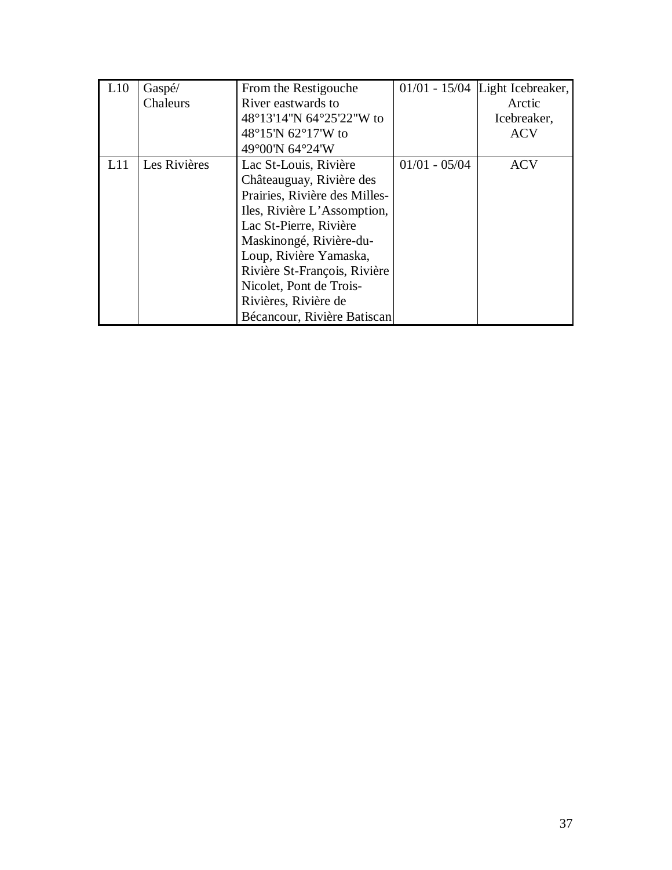| L10 | Gaspé/       | From the Restigouche          |                 | $01/01 - 15/04$ Light Icebreaker, |
|-----|--------------|-------------------------------|-----------------|-----------------------------------|
|     | Chaleurs     | River eastwards to            |                 | Arctic                            |
|     |              | 48°13'14"N 64°25'22"W to      |                 | Icebreaker,                       |
|     |              | 48°15′N 62°17′W to            |                 | <b>ACV</b>                        |
|     |              | 49°00'N 64°24'W               |                 |                                   |
| L11 | Les Rivières | Lac St-Louis, Rivière         | $01/01 - 05/04$ | <b>ACV</b>                        |
|     |              | Châteauguay, Rivière des      |                 |                                   |
|     |              | Prairies, Rivière des Milles- |                 |                                   |
|     |              | Iles, Rivière L'Assomption,   |                 |                                   |
|     |              | Lac St-Pierre, Rivière        |                 |                                   |
|     |              | Maskinongé, Rivière-du-       |                 |                                   |
|     |              | Loup, Rivière Yamaska,        |                 |                                   |
|     |              | Rivière St-François, Rivière  |                 |                                   |
|     |              | Nicolet, Pont de Trois-       |                 |                                   |
|     |              | Rivières, Rivière de          |                 |                                   |
|     |              | Bécancour, Rivière Batiscan   |                 |                                   |